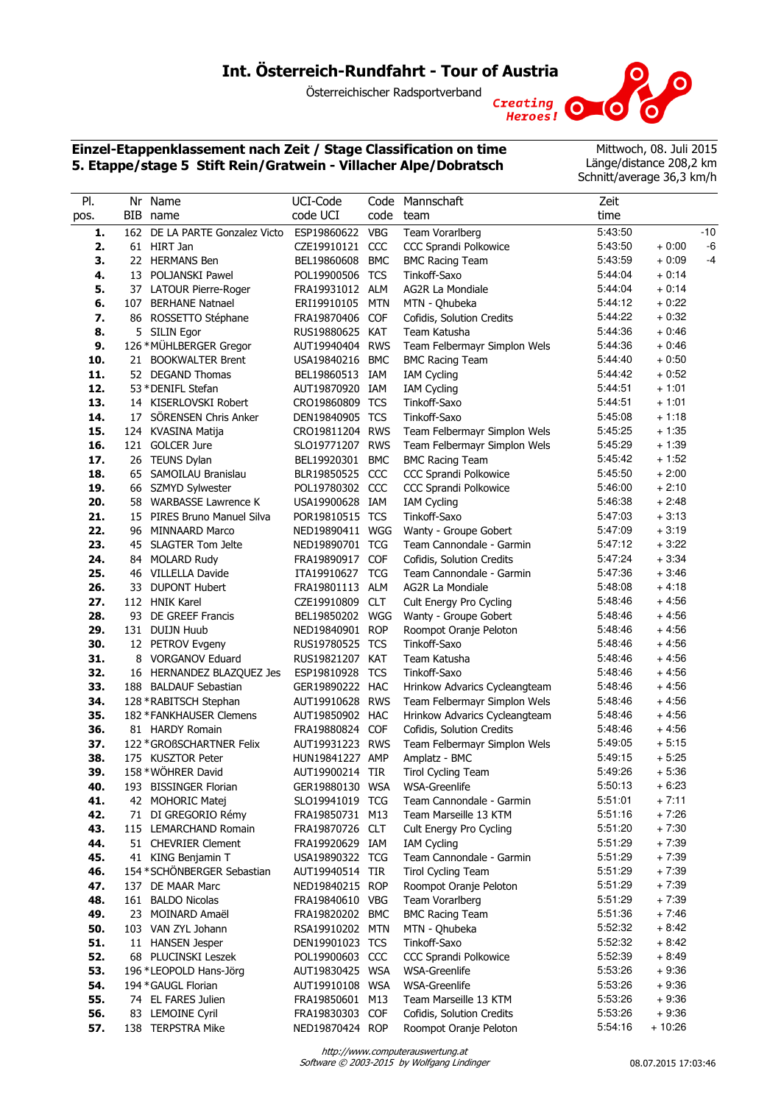# **Int. Österreich-Rundfahrt - Tour of Austria**

Österreichischer Radsportverband Creating O

## **Einzel-Etappenklassement nach Zeit / Stage Classification on time 5. Etappe/stage 5 Stift Rein/Gratwein - Villacher Alpe/Dobratsch**

Mittwoch, 08. Juli 2015 Länge/distance 208,2 km Schnitt/average 36,3 km/h

| PI.  |     | Nr Name                        | UCI-Code        |            | Code Mannschaft               | Zeit    |          |      |
|------|-----|--------------------------------|-----------------|------------|-------------------------------|---------|----------|------|
| pos. |     | BIB name                       | code UCI        | code       | team                          | time    |          |      |
| 1.   |     | 162 DE LA PARTE Gonzalez Victo | ESP19860622     | <b>VBG</b> | Team Vorarlberg               | 5:43:50 |          | -10  |
| 2.   |     | 61 HIRT Jan                    | CZE19910121     | CCC        | CCC Sprandi Polkowice         | 5:43:50 | $+0:00$  | -6   |
| З.   |     | 22 HERMANS Ben                 | BEL19860608     | <b>BMC</b> | <b>BMC Racing Team</b>        | 5:43:59 | $+0:09$  | $-4$ |
| 4.   |     | 13 POLJANSKI Pawel             | POL19900506 TCS |            | Tinkoff-Saxo                  | 5:44:04 | $+0:14$  |      |
| 5.   |     | 37 LATOUR Pierre-Roger         | FRA19931012 ALM |            | AG2R La Mondiale              | 5:44:04 | $+0:14$  |      |
| 6.   | 107 | <b>BERHANE Natnael</b>         | ERI19910105     | <b>MTN</b> | MTN - Qhubeka                 | 5:44:12 | $+0:22$  |      |
| 7.   |     | 86 ROSSETTO Stéphane           | FRA19870406     | <b>COF</b> | Cofidis, Solution Credits     | 5:44:22 | $+0.32$  |      |
| 8.   |     | 5 SILIN Egor                   | RUS19880625 KAT |            | Team Katusha                  | 5:44:36 | $+0:46$  |      |
| 9.   |     | 126 * MÜHLBERGER Gregor        | AUT19940404 RWS |            | Team Felbermayr Simplon Wels  | 5:44:36 | + 0:46   |      |
| 10.  |     | 21 BOOKWALTER Brent            | USA19840216     | <b>BMC</b> | <b>BMC Racing Team</b>        | 5:44:40 | $+0:50$  |      |
| 11.  |     | 52 DEGAND Thomas               | BEL19860513 IAM |            | <b>IAM Cycling</b>            | 5:44:42 | $+0:52$  |      |
| 12.  |     | 53 * DENIFL Stefan             | AUT19870920 IAM |            | <b>IAM Cycling</b>            | 5:44:51 | $+1:01$  |      |
| 13.  |     | 14 KISERLOVSKI Robert          | CRO19860809 TCS |            | Tinkoff-Saxo                  | 5:44:51 | $+1:01$  |      |
| 14.  |     | 17 SÖRENSEN Chris Anker        | DEN19840905 TCS |            | Tinkoff-Saxo                  | 5:45:08 | $+1:18$  |      |
| 15.  |     | 124 KVASINA Matija             | CRO19811204 RWS |            | Team Felbermayr Simplon Wels  | 5:45:25 | $+1:35$  |      |
| 16.  |     | 121 GOLCER Jure                | SLO19771207 RWS |            | Team Felbermayr Simplon Wels  | 5:45:29 | $+1:39$  |      |
| 17.  |     | 26 TEUNS Dylan                 | BEL19920301     | <b>BMC</b> | <b>BMC Racing Team</b>        | 5:45:42 | $+1:52$  |      |
| 18.  |     | 65 SAMOILAU Branislau          | BLR19850525     | CCC        | CCC Sprandi Polkowice         | 5:45:50 | $+2:00$  |      |
| 19.  |     | 66 SZMYD Sylwester             | POL19780302 CCC |            | <b>CCC Sprandi Polkowice</b>  | 5:46:00 | $+2:10$  |      |
| 20.  |     | 58 WARBASSE Lawrence K         | USA19900628 IAM |            | <b>IAM Cycling</b>            | 5:46:38 | $+2:48$  |      |
| 21.  | 15  | PIRES Bruno Manuel Silva       | POR19810515 TCS |            | Tinkoff-Saxo                  | 5:47:03 | $+3:13$  |      |
| 22.  |     | 96 MINNAARD Marco              | NED19890411 WGG |            | Wanty - Groupe Gobert         | 5:47:09 | $+3:19$  |      |
| 23.  |     | 45 SLAGTER Tom Jelte           | NED19890701 TCG |            | Team Cannondale - Garmin      | 5:47:12 | $+3:22$  |      |
| 24.  | 84  | <b>MOLARD Rudy</b>             | FRA19890917     | <b>COF</b> | Cofidis, Solution Credits     | 5:47:24 | $+3:34$  |      |
| 25.  | 46  | <b>VILLELLA Davide</b>         | ITA19910627     | <b>TCG</b> | Team Cannondale - Garmin      | 5:47:36 | $+3:46$  |      |
| 26.  | 33  | <b>DUPONT Hubert</b>           | FRA19801113 ALM |            | AG2R La Mondiale              | 5:48:08 | $+4:18$  |      |
| 27.  |     | 112 HNIK Karel                 | CZE19910809     | <b>CLT</b> | Cult Energy Pro Cycling       | 5:48:46 | $+4:56$  |      |
| 28.  |     | 93 DE GREEF Francis            | BEL19850202     | WGG        | Wanty - Groupe Gobert         | 5:48:46 | $+4:56$  |      |
| 29.  |     | 131 DUIJN Huub                 | NED19840901 ROP |            | Roompot Oranje Peloton        | 5:48:46 | $+4:56$  |      |
| 30.  |     | 12 PETROV Evgeny               | RUS19780525 TCS |            | Tinkoff-Saxo                  | 5:48:46 | $+4:56$  |      |
| 31.  |     | 8 VORGANOV Eduard              | RUS19821207 KAT |            | Team Katusha                  | 5:48:46 | $+4:56$  |      |
| 32.  |     | 16 HERNANDEZ BLAZQUEZ Jes      | ESP19810928     | <b>TCS</b> | Tinkoff-Saxo                  | 5:48:46 | $+4:56$  |      |
| 33.  |     | 188 BALDAUF Sebastian          | GER19890222 HAC |            | Hrinkow Advarics Cycleangteam | 5:48:46 | $+4:56$  |      |
| 34.  |     | 128 * RABITSCH Stephan         | AUT19910628 RWS |            | Team Felbermayr Simplon Wels  | 5:48:46 | $+4:56$  |      |
| 35.  |     | 182 * FANKHAUSER Clemens       | AUT19850902 HAC |            | Hrinkow Advarics Cycleangteam | 5:48:46 | $+4:56$  |      |
| 36.  |     | 81 HARDY Romain                | FRA19880824     | <b>COF</b> | Cofidis, Solution Credits     | 5:48:46 | $+4:56$  |      |
| 37.  |     | 122 * GROßSCHARTNER Felix      | AUT19931223 RWS |            | Team Felbermayr Simplon Wels  | 5:49:05 | $+5:15$  |      |
| 38.  |     | 175 KUSZTOR Peter              | HUN19841227 AMP |            | Amplatz - BMC                 | 5:49:15 | $+5:25$  |      |
| 39.  |     | 158 * WÖHRER David             | AUT19900214 TIR |            | Tirol Cycling Team            | 5:49:26 | $+5:36$  |      |
| 40.  |     | 193 BISSINGER Florian          | GER19880130 WSA |            | <b>WSA-Greenlife</b>          | 5:50:13 | + 6:23   |      |
| 41.  |     | 42 MOHORIC Matej               | SLO19941019 TCG |            | Team Cannondale - Garmin      | 5:51:01 | $+7:11$  |      |
| 42.  |     | 71 DI GREGORIO Rémy            | FRA19850731 M13 |            | Team Marseille 13 KTM         | 5:51:16 | $+7:26$  |      |
| 43.  |     | 115 LEMARCHAND Romain          | FRA19870726 CLT |            | Cult Energy Pro Cycling       | 5:51:20 | $+7:30$  |      |
| 44.  |     | 51 CHEVRIER Clement            | FRA19920629 IAM |            | <b>IAM Cycling</b>            | 5:51:29 | $+7:39$  |      |
| 45.  |     | 41 KING Benjamin T             | USA19890322 TCG |            | Team Cannondale - Garmin      | 5:51:29 | $+7:39$  |      |
| 46.  |     | 154 * SCHÖNBERGER Sebastian    | AUT19940514 TIR |            | <b>Tirol Cycling Team</b>     | 5:51:29 | $+7:39$  |      |
| 47.  |     | 137 DE MAAR Marc               | NED19840215 ROP |            | Roompot Oranje Peloton        | 5:51:29 | $+7:39$  |      |
| 48.  |     | 161 BALDO Nicolas              | FRA19840610 VBG |            | Team Vorarlberg               | 5:51:29 | $+7:39$  |      |
| 49.  |     | 23 MOINARD Amaël               | FRA19820202 BMC |            | <b>BMC Racing Team</b>        | 5:51:36 | $+7:46$  |      |
| 50.  |     | 103 VAN ZYL Johann             | RSA19910202 MTN |            | MTN - Qhubeka                 | 5:52:32 | $+8:42$  |      |
| 51.  |     | 11 HANSEN Jesper               | DEN19901023 TCS |            | Tinkoff-Saxo                  | 5:52:32 | $+8:42$  |      |
| 52.  |     | 68 PLUCINSKI Leszek            | POL19900603 CCC |            | CCC Sprandi Polkowice         | 5:52:39 | $+8:49$  |      |
| 53.  |     | 196 *LEOPOLD Hans-Jörg         | AUT19830425 WSA |            | WSA-Greenlife                 | 5:53:26 | $+9:36$  |      |
| 54.  |     | 194 * GAUGL Florian            | AUT19910108 WSA |            | <b>WSA-Greenlife</b>          | 5:53:26 | $+9:36$  |      |
| 55.  |     | 74 EL FARES Julien             | FRA19850601 M13 |            | Team Marseille 13 KTM         | 5:53:26 | $+9:36$  |      |
| 56.  |     | 83 LEMOINE Cyril               | FRA19830303 COF |            | Cofidis, Solution Credits     | 5:53:26 | $+9:36$  |      |
| 57.  |     | 138 TERPSTRA Mike              | NED19870424 ROP |            | Roompot Oranje Peloton        | 5:54:16 | $+10:26$ |      |
|      |     |                                |                 |            |                               |         |          |      |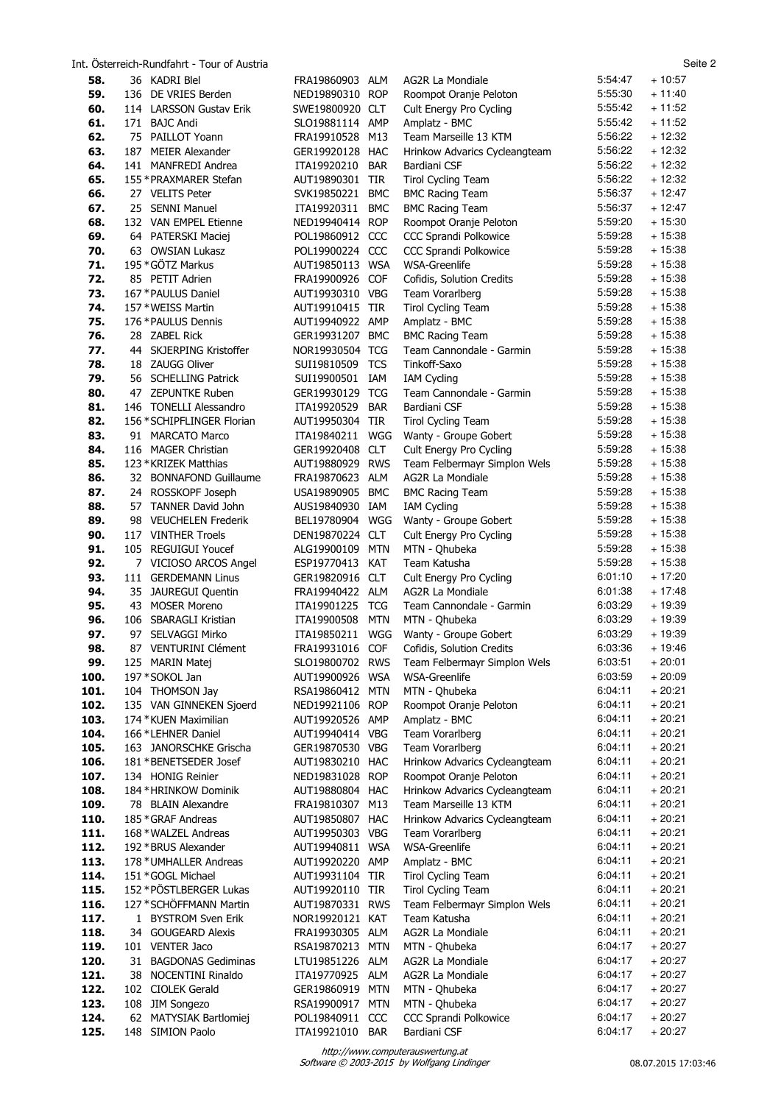|              |    | Int. Österreich-Rundfahrt - Tour of Austria      |                                    |                   |                                                         |                    | Seite 2              |
|--------------|----|--------------------------------------------------|------------------------------------|-------------------|---------------------------------------------------------|--------------------|----------------------|
| 58.          |    | 36 KADRI Blel                                    | FRA19860903                        | ALM               | AG2R La Mondiale                                        | 5:54:47            | $+10:57$             |
| 59.          |    | 136 DE VRIES Berden                              | NED19890310 ROP                    |                   | Roompot Oranje Peloton                                  | 5:55:30            | $+11:40$             |
| 60.          |    | 114 LARSSON Gustav Erik                          | SWE19800920 CLT                    |                   | Cult Energy Pro Cycling                                 | 5:55:42            | $+11:52$             |
| 61.          |    | 171 BAJC Andi                                    | SLO19881114 AMP                    |                   | Amplatz - BMC                                           | 5:55:42            | $+11:52$             |
| 62.<br>63.   |    | 75 PAILLOT Yoann<br>187 MEIER Alexander          | FRA19910528 M13<br>GER19920128 HAC |                   | Team Marseille 13 KTM                                   | 5:56:22<br>5:56:22 | $+12:32$<br>$+12:32$ |
| 64.          |    | 141 MANFREDI Andrea                              | ITA19920210                        | <b>BAR</b>        | Hrinkow Advarics Cycleangteam<br>Bardiani CSF           | 5:56:22            | $+12:32$             |
| 65.          |    | 155 * PRAXMARER Stefan                           | AUT19890301 TIR                    |                   | <b>Tirol Cycling Team</b>                               | 5:56:22            | $+12:32$             |
| 66.          |    | 27 VELITS Peter                                  | SVK19850221 BMC                    |                   | <b>BMC Racing Team</b>                                  | 5:56:37            | $+12:47$             |
| 67.          |    | 25 SENNI Manuel                                  | ITA19920311                        | <b>BMC</b>        | <b>BMC Racing Team</b>                                  | 5:56:37            | $+12:47$             |
| 68.          |    | 132 VAN EMPEL Etienne                            | NED19940414 ROP                    |                   | Roompot Oranje Peloton                                  | 5:59:20            | $+15:30$             |
| 69.          |    | 64 PATERSKI Maciej                               | POL19860912 CCC                    |                   | CCC Sprandi Polkowice                                   | 5:59:28            | $+15:38$             |
| 70.          |    | 63 OWSIAN Lukasz                                 | POL19900224 CCC                    |                   | CCC Sprandi Polkowice                                   | 5:59:28            | $+15:38$             |
| 71.          |    | 195 * GÖTZ Markus                                | AUT19850113 WSA                    |                   | <b>WSA-Greenlife</b>                                    | 5:59:28            | $+15:38$             |
| 72.          |    | 85 PETIT Adrien                                  | FRA19900926 COF                    |                   | Cofidis, Solution Credits                               | 5:59:28            | $+15:38$             |
| 73.          |    | 167 * PAULUS Daniel                              | AUT19930310 VBG                    |                   | Team Vorarlberg                                         | 5:59:28<br>5:59:28 | $+15:38$<br>$+15:38$ |
| 74.<br>75.   |    | 157 * WEISS Martin<br>176 * PAULUS Dennis        | AUT19910415 TIR<br>AUT19940922 AMP |                   | Tirol Cycling Team<br>Amplatz - BMC                     | 5:59:28            | $+15:38$             |
| 76.          |    | 28 ZABEL Rick                                    | GER19931207 BMC                    |                   | <b>BMC Racing Team</b>                                  | 5:59:28            | $+15:38$             |
| 77.          |    | 44 SKJERPING Kristoffer                          | NOR19930504 TCG                    |                   | Team Cannondale - Garmin                                | 5:59:28            | $+15:38$             |
| 78.          |    | 18 ZAUGG Oliver                                  | SUI19810509 TCS                    |                   | Tinkoff-Saxo                                            | 5:59:28            | $+15:38$             |
| 79.          |    | 56 SCHELLING Patrick                             | SUI19900501 IAM                    |                   | <b>IAM Cycling</b>                                      | 5:59:28            | $+15:38$             |
| 80.          |    | 47 ZEPUNTKE Ruben                                | GER19930129 TCG                    |                   | Team Cannondale - Garmin                                | 5:59:28            | $+15:38$             |
| 81.          |    | 146 TONELLI Alessandro                           | ITA19920529                        | <b>BAR</b>        | Bardiani CSF                                            | 5:59:28            | $+15:38$             |
| 82.          |    | 156 * SCHIPFLINGER Florian                       | AUT19950304 TIR                    |                   | <b>Tirol Cycling Team</b>                               | 5:59:28            | $+15:38$             |
| 83.          |    | 91 MARCATO Marco                                 | ITA19840211                        | WGG               | Wanty - Groupe Gobert                                   | 5:59:28            | $+15:38$             |
| 84.          |    | 116 MAGER Christian                              | GER19920408 CLT                    |                   | Cult Energy Pro Cycling                                 | 5:59:28            | $+15:38$             |
| 85.<br>86.   |    | 123 * KRIZEK Matthias<br>32 BONNAFOND Guillaume  | AUT19880929 RWS<br>FRA19870623 ALM |                   | Team Felbermayr Simplon Wels<br>AG2R La Mondiale        | 5:59:28<br>5:59:28 | $+15:38$<br>$+15:38$ |
| 87.          |    | 24 ROSSKOPF Joseph                               | USA19890905 BMC                    |                   | <b>BMC Racing Team</b>                                  | 5:59:28            | $+15:38$             |
| 88.          |    | 57 TANNER David John                             | AUS19840930 IAM                    |                   | <b>IAM Cycling</b>                                      | 5:59:28            | + 15:38              |
| 89.          |    | 98 VEUCHELEN Frederik                            | BEL19780904                        | WGG               | Wanty - Groupe Gobert                                   | 5:59:28            | $+15:38$             |
| 90.          |    | 117 VINTHER Troels                               | DEN19870224 CLT                    |                   | Cult Energy Pro Cycling                                 | 5:59:28            | $+15:38$             |
| 91.          |    | 105 REGUIGUI Youcef                              | ALG19900109                        | MTN               | MTN - Qhubeka                                           | 5:59:28            | $+15:38$             |
| 92.          |    | 7 VICIOSO ARCOS Angel                            | ESP19770413                        | KAT               | Team Katusha                                            | 5:59:28            | $+15:38$             |
| 93.          |    | 111 GERDEMANN Linus                              | GER19820916 CLT                    |                   | Cult Energy Pro Cycling                                 | 6:01:10            | + 17:20              |
| 94.          |    | 35 JAUREGUI Quentin                              | FRA19940422 ALM                    |                   | AG2R La Mondiale                                        | 6:01:38            | $+17:48$             |
| 95.          | 43 | <b>MOSER Moreno</b>                              | ITA19901225                        | TCG               | Team Cannondale - Garmin                                | 6:03:29<br>6:03:29 | $+19:39$<br>$+19:39$ |
| 96.<br>97.   |    | 106 SBARAGLI Kristian<br>97 SELVAGGI Mirko       | ITA19900508<br>ITA19850211         | <b>MTN</b><br>WGG | MTN - Qhubeka<br>Wanty - Groupe Gobert                  | 6:03:29            | + 19:39              |
| 98.          |    | 87 VENTURINI Clément                             | FRA19931016 COF                    |                   | Cofidis, Solution Credits                               | 6:03:36            | $+19:46$             |
| 99.          |    | 125 MARIN Matej                                  | SLO19800702 RWS                    |                   | Team Felbermayr Simplon Wels                            | 6:03:51            | $+20:01$             |
| 100.         |    | 197 * SOKOL Jan                                  | AUT19900926 WSA                    |                   | WSA-Greenlife                                           | 6:03:59            | $+20:09$             |
| 101.         |    | 104 THOMSON Jay                                  | RSA19860412 MTN                    |                   | MTN - Qhubeka                                           | 6:04:11            | $+20:21$             |
| 102.         |    | 135 VAN GINNEKEN Sjoerd                          | NED19921106 ROP                    |                   | Roompot Oranje Peloton                                  | 6:04:11            | $+20:21$             |
| 103.         |    | 174 * KUEN Maximilian                            | AUT19920526 AMP                    |                   | Amplatz - BMC                                           | 6:04:11            | $+20:21$             |
| 104.         |    | 166 *LEHNER Daniel                               | AUT19940414 VBG                    |                   | Team Vorarlberg                                         | 6:04:11            | $+20:21$             |
| 105.         |    | 163 JANORSCHKE Grischa<br>181 * BENETSEDER Josef | GER19870530 VBG                    |                   | Team Vorarlberg                                         | 6:04:11<br>6:04:11 | $+20:21$<br>$+20:21$ |
| 106.<br>107. |    | 134 HONIG Reinier                                | AUT19830210 HAC<br>NED19831028 ROP |                   | Hrinkow Advarics Cycleangteam<br>Roompot Oranje Peloton | 6:04:11            | $+20:21$             |
| 108.         |    | 184 * HRINKOW Dominik                            | AUT19880804 HAC                    |                   | Hrinkow Advarics Cycleangteam                           | 6:04:11            | $+20:21$             |
| 109.         |    | 78 BLAIN Alexandre                               | FRA19810307 M13                    |                   | Team Marseille 13 KTM                                   | 6:04:11            | $+20:21$             |
| 110.         |    | 185 * GRAF Andreas                               | AUT19850807 HAC                    |                   | Hrinkow Advarics Cycleangteam                           | 6:04:11            | $+20:21$             |
| 111.         |    | 168 * WALZEL Andreas                             | AUT19950303 VBG                    |                   | Team Vorarlberg                                         | 6:04:11            | $+20:21$             |
| 112.         |    | 192 * BRUS Alexander                             | AUT19940811 WSA                    |                   | <b>WSA-Greenlife</b>                                    | 6:04:11            | $+20:21$             |
| 113.         |    | 178 * UMHALLER Andreas                           | AUT19920220 AMP                    |                   | Amplatz - BMC                                           | 6:04:11            | $+20:21$             |
| 114.         |    | 151 * GOGL Michael                               | AUT19931104 TIR                    |                   | Tirol Cycling Team                                      | 6:04:11            | $+20:21$             |
| 115.         |    | 152 * PÖSTLBERGER Lukas                          | AUT19920110 TIR                    |                   | Tirol Cycling Team                                      | 6:04:11            | $+20:21$             |
| 116.<br>117. |    | 127 * SCHÖFFMANN Martin<br>1 BYSTROM Sven Erik   | AUT19870331 RWS                    |                   | Team Felbermayr Simplon Wels<br>Team Katusha            | 6:04:11<br>6:04:11 | $+20:21$<br>$+20:21$ |
| 118.         |    | 34 GOUGEARD Alexis                               | NOR19920121 KAT<br>FRA19930305 ALM |                   | AG2R La Mondiale                                        | 6:04:11            | $+20:21$             |
| 119.         |    | 101 VENTER Jaco                                  | RSA19870213 MTN                    |                   | MTN - Qhubeka                                           | 6:04:17            | $+20:27$             |
| 120.         |    | 31 BAGDONAS Gediminas                            | LTU19851226 ALM                    |                   | AG2R La Mondiale                                        | 6:04:17            | $+20:27$             |
| 121.         | 38 | <b>NOCENTINI Rinaldo</b>                         | ITA19770925 ALM                    |                   | AG2R La Mondiale                                        | 6:04:17            | $+20:27$             |
| 122.         |    | 102 CIOLEK Gerald                                | GER19860919 MTN                    |                   | MTN - Qhubeka                                           | 6:04:17            | $+20:27$             |
| 123.         |    | 108 JIM Songezo                                  | RSA19900917 MTN                    |                   | MTN - Qhubeka                                           | 6:04:17            | $+20:27$             |
| 124.         |    | 62 MATYSIAK Bartlomiej                           | POL19840911 CCC                    |                   | CCC Sprandi Polkowice                                   | 6:04:17            | $+20:27$             |
| 125.         |    | 148 SIMION Paolo                                 | ITA19921010 BAR                    |                   | Bardiani CSF                                            | 6:04:17            | $+20:27$             |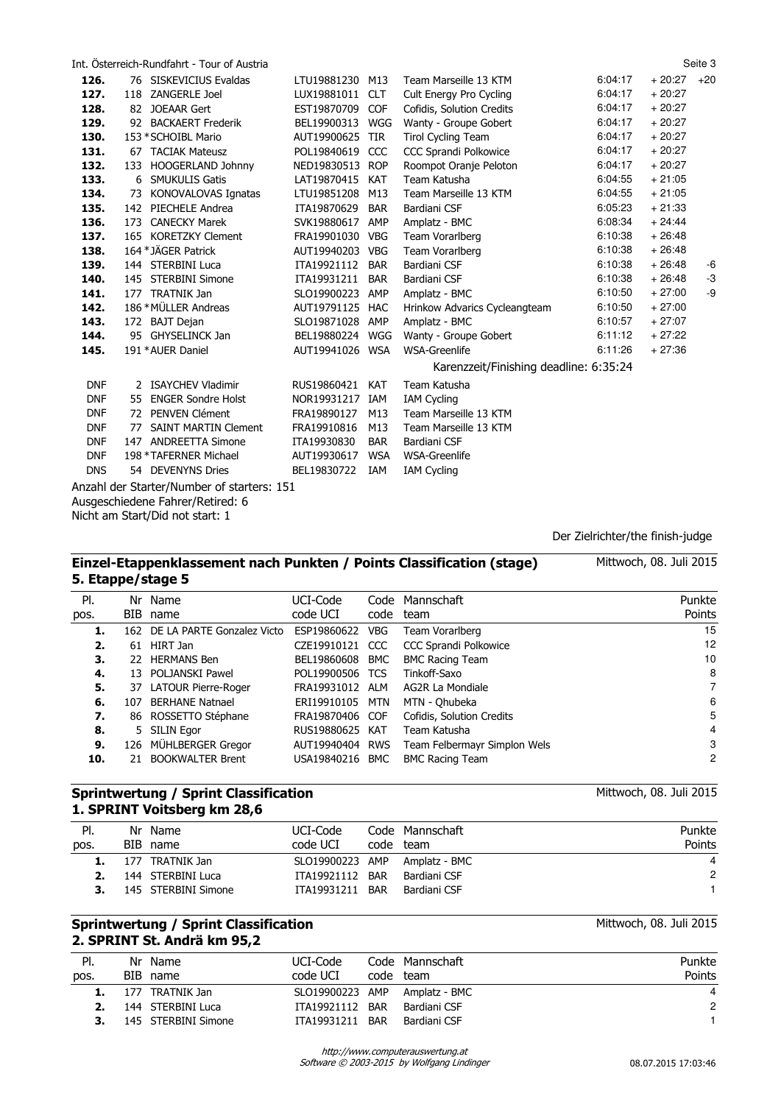|            |     | Int. Osterreich-Rundfahrt - Tour of Austria |                 |            |                                        |         |          | Seite 3 |
|------------|-----|---------------------------------------------|-----------------|------------|----------------------------------------|---------|----------|---------|
| 126.       |     | 76 SISKEVICIUS Evaldas                      | LTU19881230 M13 |            | Team Marseille 13 KTM                  | 6:04:17 | $+20:27$ | $+20$   |
| 127.       |     | 118 ZANGERLE Joel                           | LUX19881011     | <b>CLT</b> | Cult Energy Pro Cycling                | 6:04:17 | $+20:27$ |         |
| 128.       |     | 82 JOEAAR Gert                              | EST19870709 COF |            | Cofidis, Solution Credits              | 6:04:17 | $+20:27$ |         |
| 129.       | 92  | <b>BACKAERT Frederik</b>                    | BEL19900313     | WGG        | Wanty - Groupe Gobert                  | 6:04:17 | $+20:27$ |         |
| 130.       |     | 153 * SCHOIBL Mario                         | AUT19900625 TIR |            | <b>Tirol Cycling Team</b>              | 6:04:17 | $+20:27$ |         |
| 131.       |     | 67 TACIAK Mateusz                           | POL19840619     | CCC        | CCC Sprandi Polkowice                  | 6:04:17 | $+20:27$ |         |
| 132.       | 133 | <b>HOOGERLAND Johnny</b>                    | NED19830513 ROP |            | Roompot Oranje Peloton                 | 6:04:17 | $+20:27$ |         |
| 133.       | 6   | <b>SMUKULIS Gatis</b>                       | LAT19870415     | <b>KAT</b> | Team Katusha                           | 6:04:55 | $+21:05$ |         |
| 134.       | 73  | KONOVALOVAS Ignatas                         | LTU19851208     | M13        | Team Marseille 13 KTM                  | 6:04:55 | $+21:05$ |         |
| 135.       | 142 | PIECHELE Andrea                             | ITA19870629     | <b>BAR</b> | Bardiani CSF                           | 6:05:23 | $+21:33$ |         |
| 136.       |     | 173 CANECKY Marek                           | SVK19880617     | AMP        | Amplatz - BMC                          | 6:08:34 | $+24:44$ |         |
| 137.       |     | 165 KORETZKY Clement                        | FRA19901030 VBG |            | Team Vorarlberg                        | 6:10:38 | $+26:48$ |         |
| 138.       |     | 164 * JÄGER Patrick                         | AUT19940203 VBG |            | Team Vorarlberg                        | 6:10:38 | $+26:48$ |         |
| 139.       |     | 144 STERBINI Luca                           | ITA19921112     | <b>BAR</b> | Bardiani CSF                           | 6:10:38 | $+26:48$ | -6      |
| 140.       |     | 145 STERBINI Simone                         | ITA19931211     | <b>BAR</b> | Bardiani CSF                           | 6:10:38 | $+26:48$ | -3      |
| 141.       |     | 177 TRATNIK Jan                             | SLO19900223     | AMP        | Amplatz - BMC                          | 6:10:50 | $+27:00$ | -9      |
| 142.       |     | 186 * MÜLLER Andreas                        | AUT19791125 HAC |            | Hrinkow Advarics Cycleangteam          | 6:10:50 | $+27:00$ |         |
| 143.       |     | 172 BAJT Dejan                              | SLO19871028 AMP |            | Amplatz - BMC                          | 6:10:57 | $+27:07$ |         |
| 144.       |     | 95 GHYSELINCK Jan                           | BEL19880224 WGG |            | Wanty - Groupe Gobert                  | 6:11:12 | $+27:22$ |         |
| 145.       |     | 191 * AUER Daniel                           | AUT19941026 WSA |            | WSA-Greenlife                          | 6:11:26 | $+27:36$ |         |
|            |     |                                             |                 |            | Karenzzeit/Finishing deadline: 6:35:24 |         |          |         |
| <b>DNF</b> |     | 2 ISAYCHEV Vladimir                         | RUS19860421     | <b>KAT</b> | Team Katusha                           |         |          |         |
| <b>DNF</b> | 55  | <b>ENGER Sondre Holst</b>                   | NOR19931217     | IAM        | <b>IAM Cycling</b>                     |         |          |         |
| <b>DNF</b> | 72  | PENVEN Clément                              | FRA19890127     | M13        | Team Marseille 13 KTM                  |         |          |         |
| <b>DNF</b> | 77  | <b>SAINT MARTIN Clement</b>                 | FRA19910816     | M13        | Team Marseille 13 KTM                  |         |          |         |
| <b>DNF</b> |     | 147 ANDREETTA Simone                        | ITA19930830     | <b>BAR</b> | Bardiani CSF                           |         |          |         |
| <b>DNF</b> |     | 198 * TAFERNER Michael                      | AUT19930617     | <b>WSA</b> | WSA-Greenlife                          |         |          |         |
| <b>DNS</b> |     | 54 DEVENYNS Dries                           | BEL19830722     | IAM        | <b>IAM Cycling</b>                     |         |          |         |
|            |     | Anzahl der Starter/Number of starters: 151  |                 |            |                                        |         |          |         |
|            |     | Ausgeschiedene Fahrer/Retired: 6            |                 |            |                                        |         |          |         |

Nicht am Start/Did not start: 1

Der Zielrichter/the finish-judge

| Einzel-Etappenklassement nach Punkten / Points Classification (stage)<br>5. Etappe/stage 5 |     | Mittwoch, 08. Juli 2015        |                 |            |                              |                |
|--------------------------------------------------------------------------------------------|-----|--------------------------------|-----------------|------------|------------------------------|----------------|
| PI.                                                                                        |     | Nr Name                        | UCI-Code        |            | Code Mannschaft              | Punkte         |
| pos.                                                                                       | BIB | name                           | code UCI        | code       | team                         | Points         |
| 1.                                                                                         |     | 162 DE LA PARTE Gonzalez Victo | ESP19860622     | <b>VBG</b> | Team Vorarlberg              | 15             |
| 2.                                                                                         |     | 61 HIRT Jan                    | CZE19910121 CCC |            | <b>CCC Sprandi Polkowice</b> | 12             |
| З.                                                                                         |     | 22 HERMANS Ben                 | BEL19860608     | BMC        | <b>BMC Racing Team</b>       | 10             |
| 4.                                                                                         | 13  | POLJANSKI Pawel                | POL19900506 TCS |            | Tinkoff-Saxo                 | 8              |
| 5.                                                                                         |     | 37 LATOUR Pierre-Roger         | FRA19931012 ALM |            | AG2R La Mondiale             | $\overline{7}$ |
| 6.                                                                                         | 107 | <b>BERHANE Natnael</b>         | ERI19910105     | MTN        | MTN - Ohubeka                | 6              |
| 7.                                                                                         |     | 86 ROSSETTO Stéphane           | FRA19870406 COF |            | Cofidis, Solution Credits    | 5              |
| 8.                                                                                         | 5.  | <b>SILIN Egor</b>              | RUS19880625 KAT |            | Team Katusha                 | 4              |
| 9.                                                                                         |     | 126 MÜHLBERGER Gregor          | AUT19940404 RWS |            | Team Felbermayr Simplon Wels | 3              |
| 10.                                                                                        |     | 21 BOOKWALTER Brent            | USA19840216     | BMC        | <b>BMC Racing Team</b>       | $\overline{2}$ |

## **Sprintwertung / Sprint Classification 1. SPRINT Voitsberg km 28,6**

| PI.  |      | Nr Name             | UCI-Code        | Code Mannschaft               | Punkte |
|------|------|---------------------|-----------------|-------------------------------|--------|
| pos. |      | BIB name            | code UCI        | code team                     | Points |
|      | -177 | TRATNIK Jan         |                 | SLO19900223 AMP Amplatz - BMC | 4      |
|      |      | 144 STERBINI Luca   | ITA19921112 BAR | Bardiani CSF                  | 2      |
|      |      | 145 STERBINI Simone | ITA19931211 BAR | Bardiani CSF                  |        |
|      |      |                     |                 |                               |        |

#### **Sprintwertung / Sprint Classification 2. SPRINT St. Andrä km 95,2**

| PI.  | Nr Name             | UCI-Code        | Code Mannschaft               | Punkte |
|------|---------------------|-----------------|-------------------------------|--------|
| pos. | BIB name            | code UCI        | code team                     | Points |
|      | 1. 177 TRATNIK Jan  |                 | SLO19900223 AMP Amplatz - BMC |        |
|      | 144 STERBINI Luca   | ITA19921112 BAR | Bardiani CSF                  | 2      |
|      | 145 STERBINI Simone | ITA19931211 BAR | Bardiani CSF                  |        |
|      |                     |                 |                               |        |

Mittwoch, 08. Juli 2015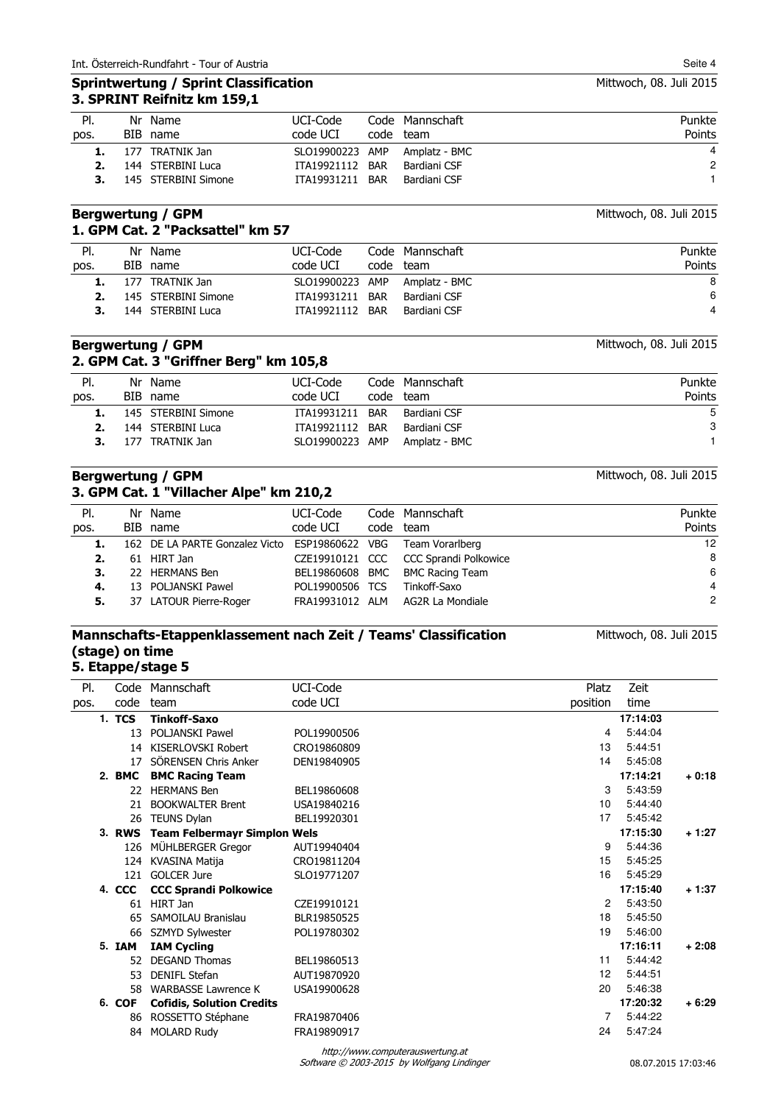#### **Sprintwertung / Sprint Classification 3. SPRINT Reifnitz km 159,1**

| Pl.  | Nr Name             | UCI-Code        | Code Mannschaft | Punkte         |
|------|---------------------|-----------------|-----------------|----------------|
| pos. | BIB name            | code UCI        | code team       | Points         |
|      | 177 TRATNIK Jan     | SLO19900223 AMP | Amplatz - BMC   | $\overline{4}$ |
|      | 144 STERBINI Luca   | ITA19921112 BAR | Bardiani CSF    | $\mathbf{2}$   |
|      | 145 STERBINI Simone | ITA19931211 BAR | Bardiani CSF    |                |

#### **Bergwertung / GPM 1. GPM Cat. 2 "Packsattel" km 57**

| Punkte |
|--------|
| Points |
| 8      |
| -6     |
| 4      |
|        |

#### **Bergwertung / GPM 2. GPM Cat. 3 "Griffner Berg" km 105,8**

| PI.  | Nr Name                | UCI-Code        | Code Mannschaft | Punkte |
|------|------------------------|-----------------|-----------------|--------|
| pos. | BIB name               | code UCI        | code team       | Points |
|      | 1. 145 STERBINI Simone | ITA19931211 BAR | Bardiani CSF    | 5      |
|      | 144 STERBINI Luca      | ITA19921112 BAR | Bardiani CSF    | 3      |
|      | 177 TRATNIK Jan        | SLO19900223 AMP | Amplatz - BMC   |        |
|      |                        |                 |                 |        |

## **Bergwertung / GPM 3. GPM Cat. 1 "Villacher Alpe" km 210,2**

Code Mannschaft code team Pl. pos. Nr Name BIB name UCI-Code code UCI Punkte Points **1.** 162 DE LA PARTE Gonzalez Victo ESP19860622 VBG Team Vorarlberg 12 **2.** 61 HIRT Jan CZE19910121 CCC CCC Sprandi Polkowice 8 **3.** 22 HERMANS Ben BEL19860608 BMC BMC Racing Team 6<br> **4.** 13 POLJANSKI Pawel POL19900506 TCS Tinkoff-Saxo 4 4 **4.** 13 POLJANSKI Pawel POL19900506 TCS Tinkoff-Saxo 4 **5.** 37 LATOUR Pierre-Roger

# **Mannschafts-Etappenklassement nach Zeit / Teams' Classification (stage) on time**

| Mittwoch, 08. Juli 2015 |  |  |  |
|-------------------------|--|--|--|
|-------------------------|--|--|--|

# **5. Etappe/stage 5**

| PI.  | Code   | Mannschaft                          | UCI-Code    | Platz             | Zeit     |         |
|------|--------|-------------------------------------|-------------|-------------------|----------|---------|
| pos. | code   | team                                | code UCI    | position          | time     |         |
|      | 1. TCS | <b>Tinkoff-Saxo</b>                 |             |                   | 17:14:03 |         |
|      | 13     | POLJANSKI Pawel                     | POL19900506 | 4                 | 5:44:04  |         |
|      | 14     | KISERLOVSKI Robert                  | CRO19860809 | 13                | 5:44:51  |         |
|      | 17     | SÖRENSEN Chris Anker                | DEN19840905 | 14                | 5:45:08  |         |
|      | 2. BMC | <b>BMC Racing Team</b>              |             |                   | 17:14:21 | $+0:18$ |
|      | 22     | <b>HERMANS Ben</b>                  | BEL19860608 | 3                 | 5:43:59  |         |
|      | 21     | <b>BOOKWALTER Brent</b>             | USA19840216 | 10 <sup>°</sup>   | 5:44:40  |         |
|      | 26     | <b>TEUNS Dylan</b>                  | BEL19920301 | 17                | 5:45:42  |         |
|      | 3. RWS | <b>Team Felbermayr Simplon Wels</b> |             |                   | 17:15:30 | $+1:27$ |
|      |        | 126 MÜHLBERGER Gregor               | AUT19940404 | 9                 | 5:44:36  |         |
|      |        | 124 KVASINA Matija                  | CRO19811204 | 15                | 5:45:25  |         |
|      | 121    | <b>GOLCER Jure</b>                  | SLO19771207 | 16                | 5:45:29  |         |
|      | 4. CCC | <b>CCC Sprandi Polkowice</b>        |             |                   | 17:15:40 | $+1:37$ |
|      | 61     | HIRT Jan                            | CZE19910121 | $\overline{2}$    | 5:43:50  |         |
|      | 65     | SAMOILAU Branislau                  | BLR19850525 | 18                | 5:45:50  |         |
|      | 66     | SZMYD Sylwester                     | POL19780302 | 19                | 5:46:00  |         |
|      | 5. IAM | <b>IAM Cycling</b>                  |             |                   | 17:16:11 | $+2:08$ |
|      | 52     | <b>DEGAND Thomas</b>                | BEL19860513 | 11                | 5:44:42  |         |
|      | 53     | DENIFL Stefan                       | AUT19870920 | $12 \overline{ }$ | 5:44:51  |         |
|      | 58     | <b>WARBASSE Lawrence K</b>          | USA19900628 | 20                | 5:46:38  |         |
|      | 6. COF | <b>Cofidis, Solution Credits</b>    |             |                   | 17:20:32 | $+6:29$ |
|      | 86     | ROSSETTO Stéphane                   | FRA19870406 | $\overline{7}$    | 5:44:22  |         |
|      | 84     | <b>MOLARD Rudy</b>                  | FRA19890917 | 24                | 5:47:24  |         |
|      |        |                                     |             |                   |          |         |

Mittwoch, 08. Juli 2015

Mittwoch, 08. Juli 2015

Mittwoch, 08. Juli 2015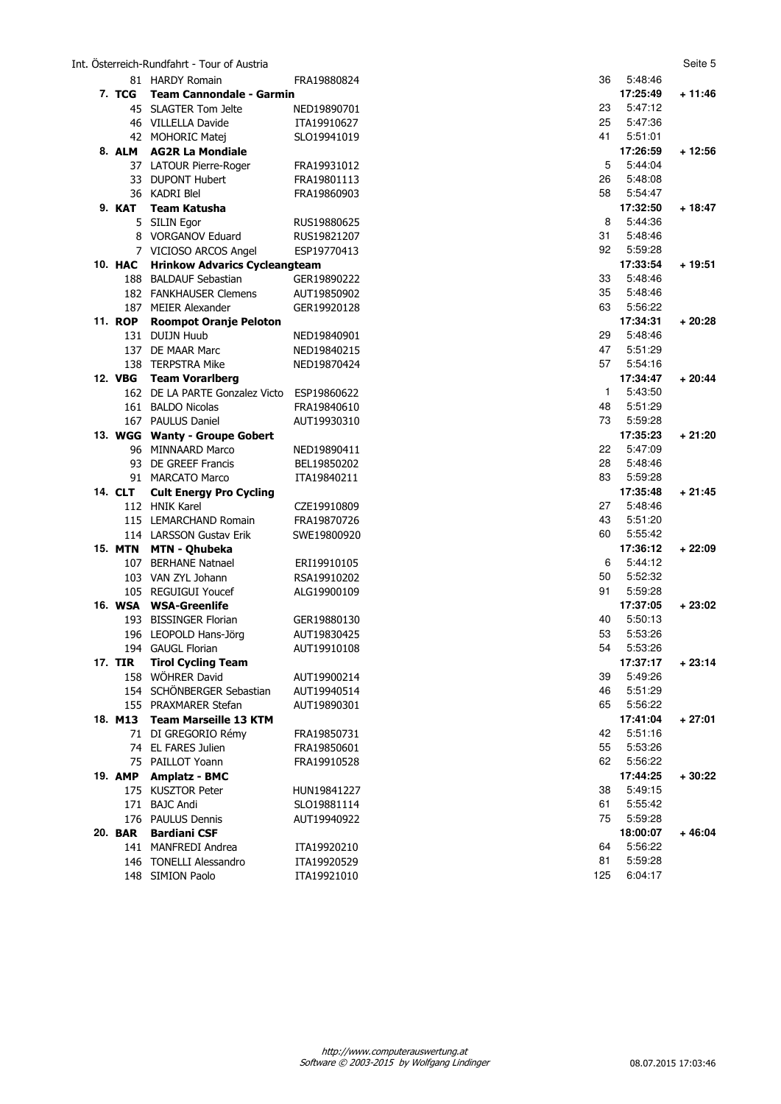#### Int. Österreich-Rundfahrt - Tour of Austria Seite 5

|                | 81 HARDY Romain                                  | FRA19880824                | 36           | 5:48:46             |          |
|----------------|--------------------------------------------------|----------------------------|--------------|---------------------|----------|
| 7. TCG         | <b>Team Cannondale - Garmin</b>                  |                            |              | 17:25:49            | + 11:46  |
|                | 45 SLAGTER Tom Jelte                             | NED19890701                | 23           | 5:47:12             |          |
|                | 46 VILLELLA Davide                               | ITA19910627                | 25           | 5:47:36             |          |
|                | 42 MOHORIC Matej                                 | SLO19941019                | 41           | 5:51:01             |          |
|                | 8. ALM AG2R La Mondiale                          |                            |              | 17:26:59            | $+12:56$ |
|                | 37 LATOUR Pierre-Roger                           | FRA19931012                | 5            | 5:44:04             |          |
|                | 33 DUPONT Hubert                                 | FRA19801113                | 26           | 5:48:08             |          |
|                | 36 KADRI Blel                                    | FRA19860903                | 58           | 5:54:47             |          |
| 9. KAT         | Team Katusha                                     |                            |              | 17:32:50            | $+18:47$ |
|                | 5 SILIN Egor                                     | RUS19880625                | 8            | 5:44:36             |          |
|                | 8 VORGANOV Eduard                                | RUS19821207                | 31           | 5:48:46             |          |
|                | 7 VICIOSO ARCOS Angel                            | ESP19770413                | 92           | 5:59:28             |          |
| 10. HAC        | <b>Hrinkow Advarics Cycleangteam</b>             |                            |              | 17:33:54            | + 19:51  |
|                | 188 BALDAUF Sebastian                            | GER19890222                | 33           | 5:48:46             |          |
|                | 182 FANKHAUSER Clemens                           | AUT19850902                | 35           | 5:48:46             |          |
|                | 187 MEIER Alexander                              | GER19920128                | 63           | 5:56:22             |          |
| <b>11. ROP</b> | <b>Roompot Oranje Peloton</b>                    |                            |              | 17:34:31            | $+20:28$ |
|                | 131 DUIJN Huub                                   | NED19840901                | 29           | 5:48:46             |          |
|                | 137 DE MAAR Marc                                 | NED19840215                | 47           | 5:51:29             |          |
|                | 138 TERPSTRA Mike                                | NED19870424                | 57           | 5:54:16             |          |
| 12. VBG        | <b>Team Vorarlberg</b>                           |                            |              | 17:34:47            | $+20:44$ |
|                | 162 DE LA PARTE Gonzalez Victo                   | ESP19860622                | $\mathbf{1}$ | 5:43:50             |          |
|                | 161 BALDO Nicolas                                | FRA19840610                | 48           | 5:51:29             |          |
|                | 167 PAULUS Daniel                                | AUT19930310                | 73           | 5:59:28             |          |
|                | 13. WGG Wanty - Groupe Gobert                    |                            |              | 17:35:23            | $+21:20$ |
|                | 96 MINNAARD Marco                                | NED19890411                | 22           | 5:47:09             |          |
|                | 93 DE GREEF Francis                              | BEL19850202                | 28           | 5:48:46             |          |
|                | 91 MARCATO Marco                                 | ITA19840211                | 83           | 5:59:28<br>17:35:48 | $+21:45$ |
| 14. CLT        | <b>Cult Energy Pro Cycling</b><br>112 HNIK Karel |                            | 27           | 5:48:46             |          |
|                | 115 LEMARCHAND Romain                            | CZE19910809<br>FRA19870726 | 43           | 5:51:20             |          |
|                | 114 LARSSON Gustav Erik                          | SWE19800920                | 60           | 5:55:42             |          |
|                | 15. MTN MTN - Qhubeka                            |                            |              | 17:36:12            | $+22:09$ |
|                | 107 BERHANE Natnael                              | ERI19910105                | 6            | 5:44:12             |          |
|                | 103 VAN ZYL Johann                               | RSA19910202                | 50           | 5:52:32             |          |
|                | 105 REGUIGUI Youcef                              | ALG19900109                | 91           | 5:59:28             |          |
|                | 16. WSA WSA-Greenlife                            |                            |              | 17:37:05            | $+23:02$ |
|                | 193 BISSINGER Florian                            | GER19880130                | 40           | 5:50:13             |          |
|                | 196 LEOPOLD Hans-Jörg                            | AUT19830425                | 53           | 5:53:26             |          |
|                | 194 GAUGL Florian                                | AUT19910108                | 54           | 5:53:26             |          |
| <b>17. TIR</b> | <b>Tirol Cycling Team</b>                        |                            |              | 17:37:17            | $+23:14$ |
|                | 158 WÖHRER David                                 | AUT19900214                | 39           | 5:49:26             |          |
|                | 154 SCHÖNBERGER Sebastian                        | AUT19940514                | 46           | 5:51:29             |          |
|                | 155 PRAXMARER Stefan                             | AUT19890301                | 65           | 5:56:22             |          |
|                | 18. M13 Team Marseille 13 KTM                    |                            |              | 17:41:04            | $+27:01$ |
|                | 71 DI GREGORIO Rémy                              | FRA19850731                | 42           | 5:51:16             |          |
|                | 74 EL FARES Julien                               | FRA19850601                | 55           | 5:53:26             |          |
|                | 75 PAILLOT Yoann                                 | FRA19910528                | 62           | 5:56:22             |          |
| 19. AMP        | <b>Amplatz - BMC</b>                             |                            |              | 17:44:25            | $+30:22$ |
|                | 175 KUSZTOR Peter                                | HUN19841227                | 38           | 5:49:15             |          |
|                | 171 BAJC Andi                                    | SLO19881114                | 61           | 5:55:42             |          |
|                | 176 PAULUS Dennis                                | AUT19940922                | 75           | 5:59:28             |          |
| 20. BAR        | <b>Bardiani CSF</b>                              |                            |              | 18:00:07            | $+46:04$ |
|                | 141 MANFREDI Andrea                              | ITA19920210                | 64           | 5:56:22             |          |
|                | 146 TONELLI Alessandro                           | ITA19920529                | 81           | 5:59:28             |          |
|                | 148 SIMION Paolo                                 | ITA19921010                | 125          | 6:04:17             |          |
|                |                                                  |                            |              |                     |          |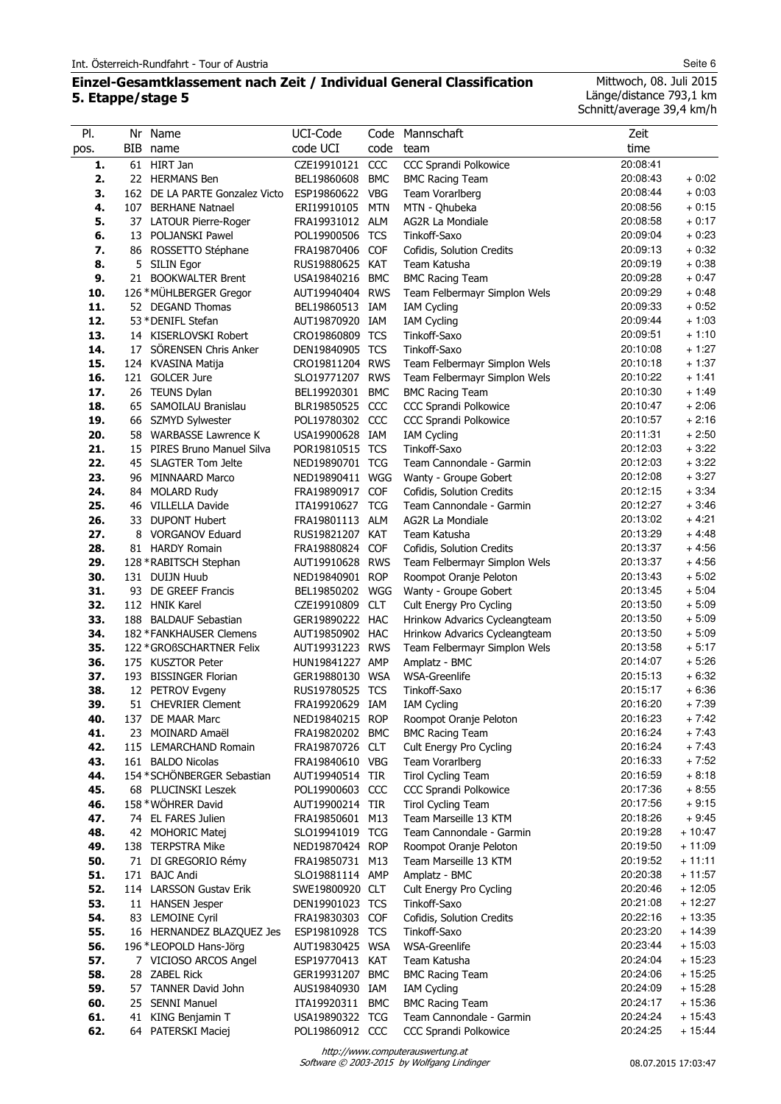# **Einzel-Gesamtklassement nach Zeit / Individual General Classification 5. Etappe/stage 5**

Mittwoch, 08. Juli 2015 Länge/distance 793,1 km Schnitt/average 39,4 km/h

| PI.<br>pos. | Nr Name<br>BIB name                                 | UCI-Code<br>code UCI               | code       | Code Mannschaft<br>team                                | Zeit<br>time         |                      |
|-------------|-----------------------------------------------------|------------------------------------|------------|--------------------------------------------------------|----------------------|----------------------|
| 1.          | 61 HIRT Jan                                         | CZE19910121                        | CCC        | CCC Sprandi Polkowice                                  | 20:08:41             |                      |
| 2.          | 22 HERMANS Ben                                      | BEL19860608                        | <b>BMC</b> | <b>BMC Racing Team</b>                                 | 20:08:43             | $+0:02$              |
| 3.          | 162 DE LA PARTE Gonzalez Victo                      | ESP19860622                        | <b>VBG</b> | Team Vorarlberg                                        | 20:08:44             | $+0:03$              |
| 4.          | 107 BERHANE Natnael                                 | ERI19910105                        | <b>MTN</b> | MTN - Qhubeka                                          | 20:08:56             | $+0:15$              |
| 5.          | 37 LATOUR Pierre-Roger                              | FRA19931012 ALM                    |            | AG2R La Mondiale                                       | 20:08:58             | $+0:17$              |
| 6.          | 13 POLJANSKI Pawel                                  | POL19900506                        | TCS        | Tinkoff-Saxo                                           | 20:09:04             | $+0:23$              |
| 7.          | 86 ROSSETTO Stéphane                                | FRA19870406 COF                    |            | Cofidis, Solution Credits                              | 20:09:13             | $+0:32$              |
| 8.          | 5 SILIN Egor                                        | RUS19880625 KAT                    |            | Team Katusha                                           | 20:09:19             | $+0.38$              |
| 9.          | 21 BOOKWALTER Brent                                 | USA19840216                        | BMC        | <b>BMC Racing Team</b>                                 | 20:09:28             | + 0:47               |
| 10.         | 126 * MÜHLBERGER Gregor                             | AUT19940404 RWS                    |            | Team Felbermayr Simplon Wels                           | 20:09:29             | $+0:48$              |
| 11.         | 52 DEGAND Thomas                                    | BEL19860513 IAM                    |            | <b>IAM Cycling</b>                                     | 20:09:33             | $+0:52$              |
| 12.         | 53 * DENIFL Stefan                                  | AUT19870920 IAM                    |            | <b>IAM Cycling</b>                                     | 20:09:44             | $+1:03$              |
| 13.         | 14 KISERLOVSKI Robert                               | CRO19860809 TCS                    |            | Tinkoff-Saxo                                           | 20:09:51             | $+1:10$              |
| 14.         | 17 SÖRENSEN Chris Anker                             | DEN19840905 TCS                    |            | Tinkoff-Saxo                                           | 20:10:08             | $+1:27$              |
| 15.<br>16.  | 124 KVASINA Matija<br>121 GOLCER Jure               | CRO19811204 RWS<br>SLO19771207 RWS |            | Team Felbermayr Simplon Wels                           | 20:10:18<br>20:10:22 | $+1:37$<br>$+1:41$   |
| 17.         | 26 TEUNS Dylan                                      | BEL19920301 BMC                    |            | Team Felbermayr Simplon Wels<br><b>BMC Racing Team</b> | 20:10:30             | $+1:49$              |
| 18.         | 65 SAMOILAU Branislau                               | BLR19850525 CCC                    |            | CCC Sprandi Polkowice                                  | 20:10:47             | $+2:06$              |
| 19.         | 66 SZMYD Sylwester                                  | POL19780302 CCC                    |            | CCC Sprandi Polkowice                                  | 20:10:57             | $+2:16$              |
| 20.         | 58 WARBASSE Lawrence K                              | USA19900628 IAM                    |            | <b>IAM Cycling</b>                                     | 20:11:31             | $+2:50$              |
| 21.         | 15 PIRES Bruno Manuel Silva                         | POR19810515 TCS                    |            | Tinkoff-Saxo                                           | 20:12:03             | $+3:22$              |
| 22.         | 45 SLAGTER Tom Jelte                                | NED19890701 TCG                    |            | Team Cannondale - Garmin                               | 20:12:03             | $+3:22$              |
| 23.         | 96 MINNAARD Marco                                   | NED19890411 WGG                    |            | Wanty - Groupe Gobert                                  | 20:12:08             | $+3:27$              |
| 24.         | 84 MOLARD Rudy                                      | FRA19890917 COF                    |            | Cofidis, Solution Credits                              | 20:12:15             | $+3:34$              |
| 25.         | 46 VILLELLA Davide                                  | ITA19910627                        | <b>TCG</b> | Team Cannondale - Garmin                               | 20:12:27             | $+3:46$              |
| 26.         | 33 DUPONT Hubert                                    | FRA19801113 ALM                    |            | AG2R La Mondiale                                       | 20:13:02             | $+4:21$              |
| 27.         | 8 VORGANOV Eduard                                   | RUS19821207 KAT                    |            | Team Katusha                                           | 20:13:29             | $+4:48$              |
| 28.         | 81 HARDY Romain                                     | FRA19880824 COF                    |            | Cofidis, Solution Credits                              | 20:13:37             | $+4:56$              |
| 29.         | 128 * RABITSCH Stephan                              | AUT19910628 RWS                    |            | Team Felbermayr Simplon Wels                           | 20:13:37             | $+4:56$              |
| 30.         | 131 DUIJN Huub                                      | NED19840901 ROP                    |            | Roompot Oranje Peloton                                 | 20:13:43             | $+5:02$              |
| 31.         | 93 DE GREEF Francis                                 | BEL19850202                        | WGG        | Wanty - Groupe Gobert                                  | 20:13:45             | $+5:04$              |
| 32.         | 112 HNIK Karel                                      | CZE19910809 CLT                    |            | Cult Energy Pro Cycling                                | 20:13:50             | $+5:09$              |
| 33.         | 188 BALDAUF Sebastian                               | GER19890222 HAC                    |            | Hrinkow Advarics Cycleangteam                          | 20:13:50             | $+5:09$              |
| 34.         | 182 * FANKHAUSER Clemens                            | AUT19850902 HAC                    |            | Hrinkow Advarics Cycleangteam                          | 20:13:50             | $+5:09$              |
| 35.         | 122 * GROBSCHARTNER Felix                           | AUT19931223 RWS                    |            | Team Felbermayr Simplon Wels                           | 20:13:58             | $+5:17$              |
| 36.         | 175 KUSZTOR Peter                                   | HUN19841227 AMP                    |            | Amplatz - BMC                                          | 20:14:07             | $+5:26$              |
| 37.<br>38.  | 193 BISSINGER Florian                               | GER19880130 WSA                    |            | WSA-Greenlife<br>Tinkoff-Saxo                          | 20:15:13<br>20:15:17 | $+6:32$<br>$+6:36$   |
| 39.         | 12 PETROV Evgeny<br>51 CHEVRIER Clement             | RUS19780525 TCS<br>FRA19920629 IAM |            | <b>IAM Cycling</b>                                     | 20:16:20             | $+7:39$              |
| 40.         | 137 DE MAAR Marc                                    | NED19840215 ROP                    |            | Roompot Oranje Peloton                                 | 20:16:23             | $+7:42$              |
| 41.         | 23 MOINARD Amaël                                    | FRA19820202 BMC                    |            | <b>BMC Racing Team</b>                                 | 20:16:24             | $+7:43$              |
| 42.         | 115 LEMARCHAND Romain                               | FRA19870726 CLT                    |            | Cult Energy Pro Cycling                                | 20:16:24             | $+7:43$              |
| 43.         | 161 BALDO Nicolas                                   | FRA19840610 VBG                    |            | Team Vorarlberg                                        | 20:16:33             | $+7:52$              |
| 44.         | 154 * SCHÖNBERGER Sebastian                         | AUT19940514 TIR                    |            | <b>Tirol Cycling Team</b>                              | 20:16:59             | $+8:18$              |
| 45.         | 68 PLUCINSKI Leszek                                 | POL19900603 CCC                    |            | CCC Sprandi Polkowice                                  | 20:17:36             | $+8:55$              |
| 46.         | 158 * WÖHRER David                                  | AUT19900214 TIR                    |            | <b>Tirol Cycling Team</b>                              | 20:17:56             | $+9:15$              |
| 47.         | 74 EL FARES Julien                                  | FRA19850601 M13                    |            | Team Marseille 13 KTM                                  | 20:18:26             | $+9:45$              |
| 48.         | 42 MOHORIC Matej                                    | SLO19941019 TCG                    |            | Team Cannondale - Garmin                               | 20:19:28             | $+10:47$             |
| 49.         | 138 TERPSTRA Mike                                   | NED19870424 ROP                    |            | Roompot Oranje Peloton                                 | 20:19:50             | $+11:09$             |
| 50.         | 71 DI GREGORIO Rémy                                 | FRA19850731 M13                    |            | Team Marseille 13 KTM                                  | 20:19:52             | $+11:11$             |
| 51.         | 171 BAJC Andi                                       | SLO19881114 AMP                    |            | Amplatz - BMC                                          | 20:20:38             | $+11:57$             |
| 52.         | 114 LARSSON Gustav Erik                             | SWE19800920 CLT                    |            | Cult Energy Pro Cycling                                | 20:20:46             | $+12:05$             |
| 53.         | 11 HANSEN Jesper                                    | DEN19901023 TCS                    |            | Tinkoff-Saxo                                           | 20:21:08             | $+12:27$             |
| 54.         | 83 LEMOINE Cyril                                    | FRA19830303 COF                    |            | Cofidis, Solution Credits                              | 20:22:16<br>20:23:20 | $+13:35$<br>$+14:39$ |
| 55.<br>56.  | 16 HERNANDEZ BLAZQUEZ Jes<br>196 *LEOPOLD Hans-Jörg | ESP19810928 TCS<br>AUT19830425 WSA |            | Tinkoff-Saxo<br><b>WSA-Greenlife</b>                   | 20:23:44             | $+15:03$             |
| 57.         | 7 VICIOSO ARCOS Angel                               | ESP19770413                        | KAT        | Team Katusha                                           | 20:24:04             | $+15:23$             |
| 58.         | 28 ZABEL Rick                                       | GER19931207 BMC                    |            | <b>BMC Racing Team</b>                                 | 20:24:06             | $+15:25$             |
| 59.         | 57 TANNER David John                                | AUS19840930 IAM                    |            | <b>IAM Cycling</b>                                     | 20:24:09             | $+15:28$             |
| 60.         | 25 SENNI Manuel                                     | ITA19920311 BMC                    |            | <b>BMC Racing Team</b>                                 | 20:24:17             | $+15:36$             |
| 61.         | 41 KING Benjamin T                                  | USA19890322 TCG                    |            | Team Cannondale - Garmin                               | 20:24:24             | $+15:43$             |
| 62.         | 64 PATERSKI Maciej                                  | POL19860912 CCC                    |            | CCC Sprandi Polkowice                                  | 20:24:25             | $+15:44$             |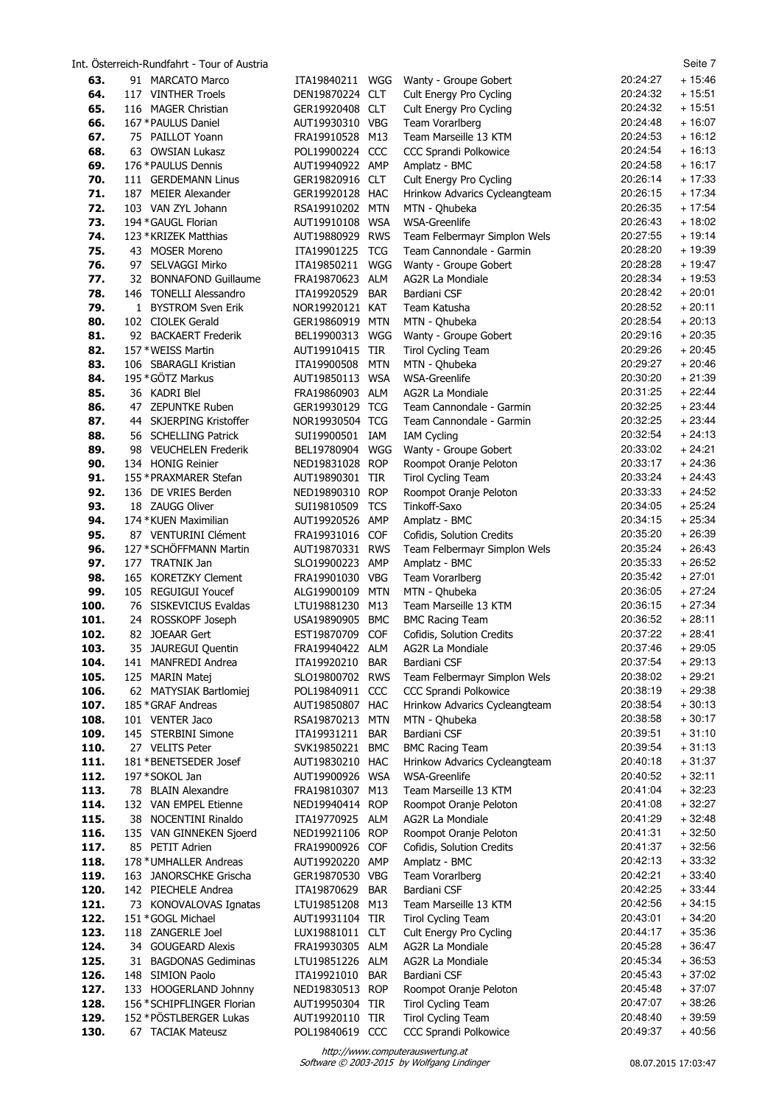|              | Int. Osterreich-Rundfahrt - Tour of Austria      |                                    |            |                                                        |                      | Seite 7              |
|--------------|--------------------------------------------------|------------------------------------|------------|--------------------------------------------------------|----------------------|----------------------|
| 63.          | 91 MARCATO Marco                                 | ITA19840211                        | WGG        | Wanty - Groupe Gobert                                  | 20:24:27             | $+15:46$             |
| 64.          | 117 VINTHER Troels                               | DEN19870224 CLT                    |            | Cult Energy Pro Cycling                                | 20:24:32             | $+15:51$             |
| 65.          | 116 MAGER Christian                              | GER19920408 CLT                    |            | Cult Energy Pro Cycling                                | 20:24:32             | $+15:51$             |
| 66.          | 167 * PAULUS Daniel                              | AUT19930310 VBG                    |            | Team Vorarlberg                                        | 20:24:48             | $+16:07$             |
| 67.          | 75 PAILLOT Yoann                                 | FRA19910528 M13                    |            | Team Marseille 13 KTM                                  | 20:24:53<br>20:24:54 | $+16:12$<br>$+16:13$ |
| 68.<br>69.   | 63 OWSIAN Lukasz<br>176 * PAULUS Dennis          | POL19900224 CCC<br>AUT19940922 AMP |            | CCC Sprandi Polkowice<br>Amplatz - BMC                 | 20:24:58             | $+16:17$             |
| 70.          | 111 GERDEMANN Linus                              | GER19820916 CLT                    |            | Cult Energy Pro Cycling                                | 20:26:14             | $+17:33$             |
| 71.          | 187 MEIER Alexander                              | GER19920128 HAC                    |            | Hrinkow Advarics Cycleangteam                          | 20:26:15             | $+17:34$             |
| 72.          | 103 VAN ZYL Johann                               | RSA19910202 MTN                    |            | MTN - Qhubeka                                          | 20:26:35             | $+17:54$             |
| 73.          | 194 * GAUGL Florian                              | AUT19910108 WSA                    |            | <b>WSA-Greenlife</b>                                   | 20:26:43             | $+18:02$             |
| 74.          | 123 * KRIZEK Matthias                            | AUT19880929 RWS                    |            | Team Felbermayr Simplon Wels                           | 20:27:55             | $+19:14$             |
| 75.          | 43 MOSER Moreno                                  | ITA19901225 TCG                    |            | Team Cannondale - Garmin                               | 20:28:20             | $+19:39$             |
| 76.          | 97 SELVAGGI Mirko                                | ITA19850211                        | WGG        | Wanty - Groupe Gobert                                  | 20:28:28             | $+19:47$             |
| 77.          | 32 BONNAFOND Guillaume                           | FRA19870623 ALM                    |            | AG2R La Mondiale                                       | 20:28:34             | $+19:53$             |
| 78.          | 146 TONELLI Alessandro                           | ITA19920529                        | <b>BAR</b> | Bardiani CSF                                           | 20:28:42             | $+20:01$             |
| 79.          | 1 BYSTROM Sven Erik                              | NOR19920121 KAT                    |            | Team Katusha                                           | 20:28:52             | $+20:11$             |
| 80.          | 102 CIOLEK Gerald                                | GER19860919 MTN                    |            | MTN - Qhubeka                                          | 20:28:54<br>20:29:16 | $+20:13$<br>$+20:35$ |
| 81.<br>82.   | 92 BACKAERT Frederik<br>157 * WEISS Martin       | BEL19900313                        | WGG        | Wanty - Groupe Gobert<br><b>Tirol Cycling Team</b>     | 20:29:26             | $+20:45$             |
| 83.          | 106 SBARAGLI Kristian                            | AUT19910415 TIR<br>ITA19900508     | <b>MTN</b> | MTN - Qhubeka                                          | 20:29:27             | $+20:46$             |
| 84.          | 195 * GÖTZ Markus                                | AUT19850113 WSA                    |            | WSA-Greenlife                                          | 20:30:20             | $+21:39$             |
| 85.          | 36 KADRI Blel                                    | FRA19860903 ALM                    |            | AG2R La Mondiale                                       | 20:31:25             | $+22:44$             |
| 86.          | 47 ZEPUNTKE Ruben                                | GER19930129 TCG                    |            | Team Cannondale - Garmin                               | 20:32:25             | $+23:44$             |
| 87.          | 44 SKJERPING Kristoffer                          | NOR19930504 TCG                    |            | Team Cannondale - Garmin                               | 20:32:25             | $+23:44$             |
| 88.          | 56 SCHELLING Patrick                             | SUI19900501 IAM                    |            | <b>IAM Cycling</b>                                     | 20:32:54             | $+24:13$             |
| 89.          | 98 VEUCHELEN Frederik                            | BEL19780904                        | WGG        | Wanty - Groupe Gobert                                  | 20:33:02             | $+24:21$             |
| 90.          | 134 HONIG Reinier                                | NED19831028 ROP                    |            | Roompot Oranje Peloton                                 | 20:33:17             | $+24:36$             |
| 91.          | 155 * PRAXMARER Stefan                           | AUT19890301 TIR                    |            | <b>Tirol Cycling Team</b>                              | 20:33:24             | $+24:43$             |
| 92.          | 136 DE VRIES Berden                              | NED19890310 ROP                    |            | Roompot Oranje Peloton                                 | 20:33:33             | $+24:52$             |
| 93.<br>94.   | 18 ZAUGG Oliver<br>174 * KUEN Maximilian         | SUI19810509<br>AUT19920526 AMP     | <b>TCS</b> | Tinkoff-Saxo<br>Amplatz - BMC                          | 20:34:05<br>20:34:15 | $+25:24$<br>$+25:34$ |
| 95.          | 87 VENTURINI Clément                             | FRA19931016 COF                    |            | Cofidis, Solution Credits                              | 20:35:20             | $+26:39$             |
| 96.          | 127 * SCHÖFFMANN Martin                          | AUT19870331 RWS                    |            | Team Felbermayr Simplon Wels                           | 20:35:24             | $+26:43$             |
| 97.          | 177 TRATNIK Jan                                  | SLO19900223 AMP                    |            | Amplatz - BMC                                          | 20:35:33             | $+26:52$             |
| 98.          | 165 KORETZKY Clement                             | FRA19901030 VBG                    |            | Team Vorarlberg                                        | 20:35:42             | $+27:01$             |
| 99.          | 105 REGUIGUI Youcef                              | ALG19900109                        | MTN        | MTN - Qhubeka                                          | 20:36:05             | $+27:24$             |
| 100.         | 76 SISKEVICIUS Evaldas                           | LTU19881230                        | M13        | Team Marseille 13 KTM                                  | 20:36:15             | $+27:34$             |
| 101.         | 24 ROSSKOPF Joseph                               | USA19890905                        | <b>BMC</b> | <b>BMC Racing Team</b>                                 | 20:36:52             | $+28:11$             |
| 102.         | 82 JOEAAR Gert                                   | EST19870709                        | <b>COF</b> | Cofidis, Solution Credits                              | 20:37:22             | $+28:41$             |
| 103.         | 35 JAUREGUI Quentin                              | FRA19940422                        | ALM        | AG2R La Mondiale                                       | 20:37:46             | $+29:05$             |
| 104.         | 141 MANFREDI Andrea                              | ITA19920210                        | <b>BAR</b> | Bardiani CSF                                           | 20:37:54             | $+29:13$             |
| 105.<br>106. | 125 MARIN Matej<br>62 MATYSIAK Bartlomiej        | SLO19800702 RWS                    |            | Team Felbermayr Simplon Wels                           | 20:38:02<br>20:38:19 | $+29:21$<br>$+29:38$ |
| 107.         | 185 * GRAF Andreas                               | POL19840911 CCC<br>AUT19850807 HAC |            | CCC Sprandi Polkowice<br>Hrinkow Advarics Cycleangteam | 20:38:54             | $+30:13$             |
| 108.         | 101 VENTER Jaco                                  | RSA19870213 MTN                    |            | MTN - Qhubeka                                          | 20:38:58             | $+30:17$             |
| 109.         | 145 STERBINI Simone                              | ITA19931211                        | <b>BAR</b> | Bardiani CSF                                           | 20:39:51             | $+31:10$             |
| 110.         | 27 VELITS Peter                                  | SVK19850221 BMC                    |            | <b>BMC Racing Team</b>                                 | 20:39:54             | $+31:13$             |
| 111.         | 181 * BENETSEDER Josef                           | AUT19830210 HAC                    |            | Hrinkow Advarics Cycleangteam                          | 20:40:18             | $+31:37$             |
| 112.         | 197 * SOKOL Jan                                  | AUT19900926 WSA                    |            | <b>WSA-Greenlife</b>                                   | 20:40:52             | $+32:11$             |
| 113.         | 78 BLAIN Alexandre                               | FRA19810307 M13                    |            | Team Marseille 13 KTM                                  | 20:41:04             | $+32:23$             |
| 114.         | 132 VAN EMPEL Etienne                            | NED19940414 ROP                    |            | Roompot Oranje Peloton                                 | 20:41:08             | $+32:27$             |
| 115.         | 38 NOCENTINI Rinaldo                             | ITA19770925 ALM                    |            | AG2R La Mondiale                                       | 20:41:29             | $+32:48$             |
| 116.         | 135 VAN GINNEKEN Sjoerd                          | NED19921106 ROP                    |            | Roompot Oranje Peloton                                 | 20:41:31             | $+32:50$             |
| 117.         | 85 PETIT Adrien                                  | FRA19900926                        | <b>COF</b> | Cofidis, Solution Credits                              | 20:41:37<br>20:42:13 | $+32:56$<br>$+33:32$ |
| 118.<br>119. | 178 * UMHALLER Andreas<br>163 JANORSCHKE Grischa | AUT19920220 AMP<br>GER19870530 VBG |            | Amplatz - BMC<br>Team Vorarlberg                       | 20:42:21             | $+33:40$             |
| 120.         | 142 PIECHELE Andrea                              | ITA19870629                        | <b>BAR</b> | Bardiani CSF                                           | 20:42:25             | $+33:44$             |
| 121.         | 73 KONOVALOVAS Ignatas                           | LTU19851208 M13                    |            | Team Marseille 13 KTM                                  | 20:42:56             | $+34:15$             |
| 122.         | 151 * GOGL Michael                               | AUT19931104 TIR                    |            | <b>Tirol Cycling Team</b>                              | 20:43:01             | $+34:20$             |
| 123.         | 118 ZANGERLE Joel                                | LUX19881011 CLT                    |            | Cult Energy Pro Cycling                                | 20:44:17             | $+35:36$             |
| 124          | 34 GOUGEARD Alexis                               | FRA19930305 ALM                    |            | AG2R La Mondiale                                       | 20:45:28             | $+36:47$             |
| 125.         | 31 BAGDONAS Gediminas                            | LTU19851226 ALM                    |            | AG2R La Mondiale                                       | 20:45:34             | $+36:53$             |
| 126.         | 148 SIMION Paolo                                 | ITA19921010                        | <b>BAR</b> | Bardiani CSF                                           | 20:45:43             | $+37:02$             |
| 127.         | 133 HOOGERLAND Johnny                            | NED19830513 ROP                    |            | Roompot Oranje Peloton                                 | 20:45:48             | $+37:07$             |
| 128.         | 156 * SCHIPFLINGER Florian                       | AUT19950304 TIR                    |            | <b>Tirol Cycling Team</b>                              | 20:47:07             | $+38:26$             |
| 129.         | 152 * PÖSTLBERGER Lukas                          | AUT19920110 TIR                    |            | <b>Tirol Cycling Team</b>                              | 20:48:40             | $+39:59$             |
| 130.         | 67 TACIAK Mateusz                                | POL19840619 CCC                    |            | CCC Sprandi Polkowice                                  | 20:49:37             | $+40:56$             |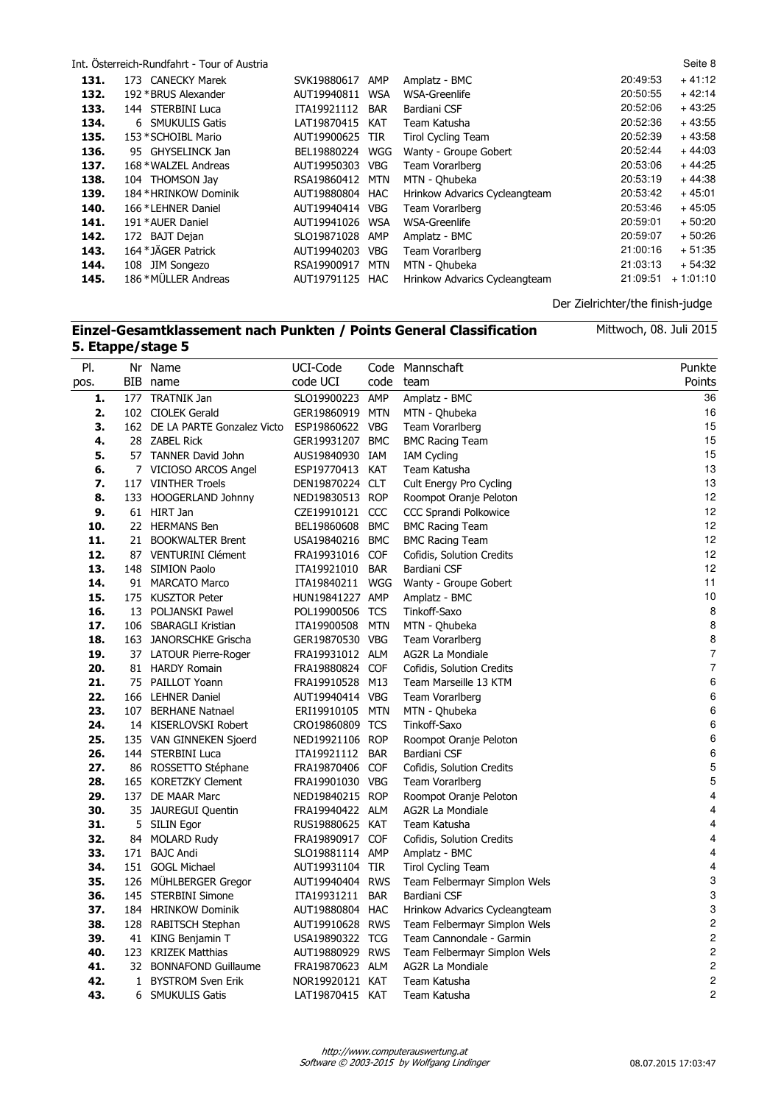|      | Int. Österreich-Rundfahrt - Tour of Austria |                 |            |                               |          | Seite 8    |
|------|---------------------------------------------|-----------------|------------|-------------------------------|----------|------------|
| 131. | 173 CANECKY Marek                           | SVK19880617     | <b>AMP</b> | Amplatz - BMC                 | 20:49:53 | $+41:12$   |
| 132. | 192 * BRUS Alexander                        | AUT19940811     | <b>WSA</b> | WSA-Greenlife                 | 20:50:55 | $+42:14$   |
| 133. | 144 STERBINI Luca                           | ITA19921112     | <b>BAR</b> | Bardiani CSF                  | 20:52:06 | $+43:25$   |
| 134. | 6 SMUKULIS Gatis                            | LAT19870415 KAT |            | Team Katusha                  | 20:52:36 | $+43:55$   |
| 135. | 153 * SCHOIBL Mario                         | AUT19900625 TIR |            | <b>Tirol Cycling Team</b>     | 20:52:39 | $+43:58$   |
| 136. | 95 GHYSELINCK Jan                           | BEL19880224     | WGG        | Wanty - Groupe Gobert         | 20:52:44 | $+44:03$   |
| 137. | 168 * WALZEL Andreas                        | AUT19950303 VBG |            | Team Vorarlberg               | 20:53:06 | $+44:25$   |
| 138. | 104 THOMSON Jay                             | RSA19860412     | MTN        | MTN - Ohubeka                 | 20:53:19 | $+44:38$   |
| 139. | 184 * HRINKOW Dominik                       | AUT19880804 HAC |            | Hrinkow Advarics Cycleangteam | 20:53:42 | $+45:01$   |
| 140. | 166 *LEHNER Daniel                          | AUT19940414     | <b>VBG</b> | Team Vorarlberg               | 20:53:46 | $+45:05$   |
| 141. | 191 * AUER Daniel                           | AUT19941026     | WSA        | WSA-Greenlife                 | 20:59:01 | $+50:20$   |
| 142. | 172 BAJT Dejan                              | SLO19871028     | AMP        | Amplatz - BMC                 | 20:59:07 | $+50:26$   |
| 143. | 164 * JÄGER Patrick                         | AUT19940203     | VBG        | Team Vorarlberg               | 21:00:16 | $+51:35$   |
| 144. | 108 JIM Songezo                             | RSA19900917     | <b>MTN</b> | MTN - Ohubeka                 | 21:03:13 | $+54:32$   |
| 145. | 186 * MÜLLER Andreas                        | AUT19791125 HAC |            | Hrinkow Advarics Cycleangteam | 21:09:51 | $+1:01:10$ |
|      |                                             |                 |            |                               |          |            |

#### Der Zielrichter/the finish-judge

# **Einzel-Gesamtklassement nach Punkten / Points General Classification 5. Etappe/stage 5**

| PI.  |   | Nr Name                        | UCI-Code        |            | Code Mannschaft               | Punkte                  |
|------|---|--------------------------------|-----------------|------------|-------------------------------|-------------------------|
| pos. |   | BIB name                       | code UCI        | code       | team                          | Points                  |
| 1.   |   | 177 TRATNIK Jan                | SLO19900223 AMP |            | Amplatz - BMC                 | 36                      |
| 2.   |   | 102 CIOLEK Gerald              | GER19860919 MTN |            | MTN - Qhubeka                 | 16                      |
| З.   |   | 162 DE LA PARTE Gonzalez Victo | ESP19860622 VBG |            | Team Vorarlberg               | 15                      |
| 4.   |   | 28 ZABEL Rick                  | GER19931207 BMC |            | <b>BMC Racing Team</b>        | 15                      |
| 5.   |   | 57 TANNER David John           | AUS19840930 IAM |            | <b>IAM Cycling</b>            | 15                      |
| 6.   |   | 7 VICIOSO ARCOS Angel          | ESP19770413 KAT |            | Team Katusha                  | 13                      |
| 7.   |   | 117 VINTHER Troels             | DEN19870224 CLT |            | Cult Energy Pro Cycling       | 13                      |
| 8.   |   | 133 HOOGERLAND Johnny          | NED19830513 ROP |            | Roompot Oranje Peloton        | 12                      |
| 9.   |   | 61 HIRT Jan                    | CZE19910121 CCC |            | <b>CCC Sprandi Polkowice</b>  | 12                      |
| 10.  |   | 22 HERMANS Ben                 | BEL19860608     | <b>BMC</b> | <b>BMC Racing Team</b>        | 12                      |
| 11.  |   | 21 BOOKWALTER Brent            | USA19840216 BMC |            | <b>BMC Racing Team</b>        | 12                      |
| 12.  |   | 87 VENTURINI Clément           | FRA19931016 COF |            | Cofidis, Solution Credits     | 12                      |
| 13.  |   | 148 SIMION Paolo               | ITA19921010     | <b>BAR</b> | Bardiani CSF                  | 12                      |
| 14.  |   | 91 MARCATO Marco               | ITA19840211 WGG |            | Wanty - Groupe Gobert         | 11                      |
| 15.  |   | 175 KUSZTOR Peter              | HUN19841227 AMP |            | Amplatz - BMC                 | 10                      |
| 16.  |   | 13 POLJANSKI Pawel             | POL19900506 TCS |            | Tinkoff-Saxo                  | 8                       |
| 17.  |   | 106 SBARAGLI Kristian          | ITA19900508     | <b>MTN</b> | MTN - Ohubeka                 | 8                       |
| 18.  |   | 163 JANORSCHKE Grischa         | GER19870530 VBG |            | Team Vorarlberg               | 8                       |
| 19.  |   | 37 LATOUR Pierre-Roger         | FRA19931012 ALM |            | AG2R La Mondiale              | $\boldsymbol{7}$        |
| 20.  |   | 81 HARDY Romain                | FRA19880824 COF |            | Cofidis, Solution Credits     | $\overline{7}$          |
| 21.  |   | 75 PAILLOT Yoann               | FRA19910528 M13 |            | Team Marseille 13 KTM         | 6                       |
| 22.  |   | 166 LEHNER Daniel              | AUT19940414 VBG |            | Team Vorarlberg               | 6                       |
| 23.  |   | 107 BERHANE Natnael            | ERI19910105 MTN |            | MTN - Qhubeka                 | 6                       |
| 24.  |   | 14 KISERLOVSKI Robert          | CRO19860809 TCS |            | Tinkoff-Saxo                  | 6                       |
| 25.  |   | 135 VAN GINNEKEN Sjoerd        | NED19921106 ROP |            | Roompot Oranje Peloton        | 6                       |
| 26.  |   | 144 STERBINI Luca              | ITA19921112 BAR |            | Bardiani CSF                  | 6                       |
| 27.  |   | 86 ROSSETTO Stéphane           | FRA19870406 COF |            | Cofidis, Solution Credits     | 5                       |
| 28.  |   | 165 KORETZKY Clement           | FRA19901030 VBG |            | Team Vorarlberg               | 5                       |
| 29.  |   | 137 DE MAAR Marc               | NED19840215 ROP |            | Roompot Oranje Peloton        | 4                       |
| 30.  |   | 35 JAUREGUI Quentin            | FRA19940422 ALM |            | AG2R La Mondiale              | 4                       |
| 31.  |   | 5 SILIN Egor                   | RUS19880625 KAT |            | Team Katusha                  | 4                       |
| 32.  |   | 84 MOLARD Rudy                 | FRA19890917 COF |            | Cofidis, Solution Credits     | 4                       |
| 33.  |   | 171 BAJC Andi                  | SLO19881114 AMP |            | Amplatz - BMC                 | 4                       |
| 34.  |   | 151 GOGL Michael               | AUT19931104 TIR |            | <b>Tirol Cycling Team</b>     | 4                       |
| 35.  |   | 126 MÜHLBERGER Gregor          | AUT19940404 RWS |            | Team Felbermayr Simplon Wels  | 3                       |
| 36.  |   | 145 STERBINI Simone            | ITA19931211     | <b>BAR</b> | Bardiani CSF                  | 3                       |
| 37.  |   | 184 HRINKOW Dominik            | AUT19880804 HAC |            | Hrinkow Advarics Cycleangteam | 3                       |
| 38.  |   | 128 RABITSCH Stephan           | AUT19910628 RWS |            | Team Felbermayr Simplon Wels  | $\overline{c}$          |
| 39.  |   | 41 KING Benjamin T             | USA19890322 TCG |            | Team Cannondale - Garmin      | $\overline{\mathbf{c}}$ |
| 40.  |   | 123 KRIZEK Matthias            | AUT19880929 RWS |            | Team Felbermayr Simplon Wels  | $\overline{c}$          |
| 41.  |   | 32 BONNAFOND Guillaume         | FRA19870623 ALM |            | <b>AG2R La Mondiale</b>       | $\overline{\mathbf{c}}$ |
| 42.  |   | 1 BYSTROM Sven Erik            | NOR19920121 KAT |            | Team Katusha                  | $\overline{\mathbf{c}}$ |
| 43.  | 6 | <b>SMUKULIS Gatis</b>          | LAT19870415 KAT |            | Team Katusha                  | $\overline{2}$          |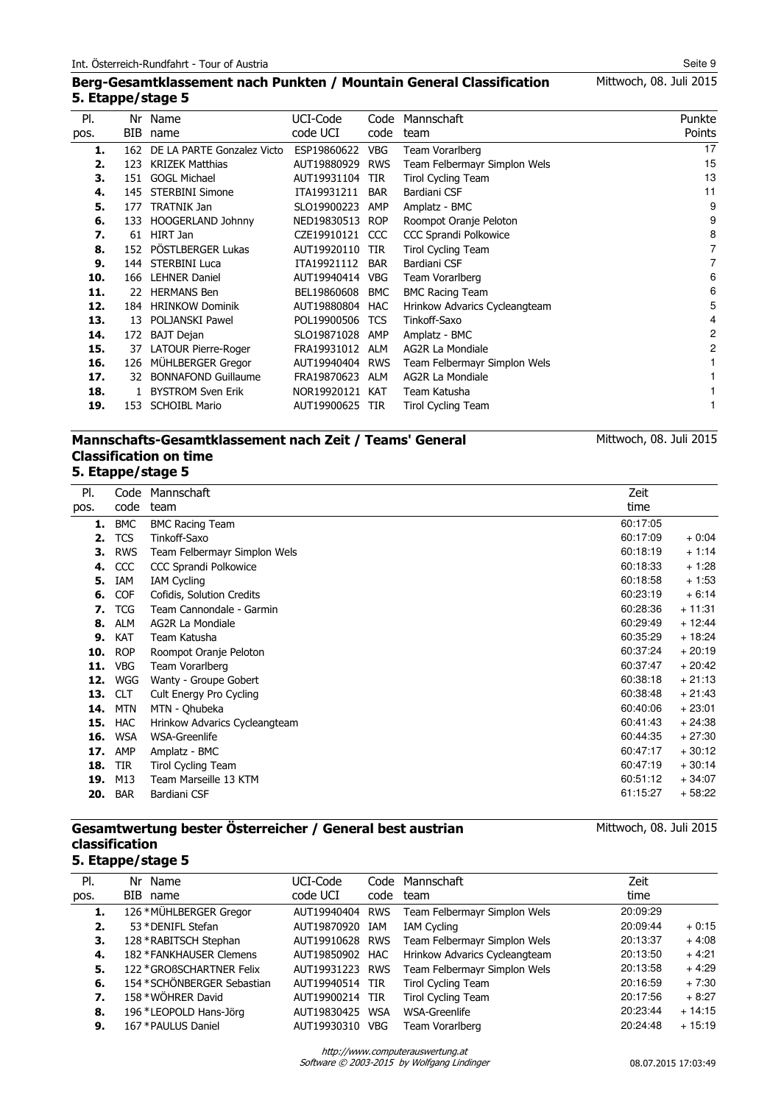# Mittwoch, 08. Juli 2015

#### **Berg-Gesamtklassement nach Punkten / Mountain General Classification 5. Etappe/stage 5**

| PI.  | Nr  | Name                       | UCI-Code    | Code       | Mannschaft                    | Punkte         |
|------|-----|----------------------------|-------------|------------|-------------------------------|----------------|
| pos. | BIB | name                       | code UCI    | code       | team                          | Points         |
| 1.   | 162 | DE LA PARTE Gonzalez Victo | ESP19860622 | <b>VBG</b> | Team Vorarlberg               | 17             |
| 2.   | 123 | <b>KRIZEK Matthias</b>     | AUT19880929 | <b>RWS</b> | Team Felbermayr Simplon Wels  | 15             |
| 3.   | 151 | <b>GOGL Michael</b>        | AUT19931104 | <b>TIR</b> | <b>Tirol Cycling Team</b>     | 13             |
| 4.   | 145 | <b>STERBINI Simone</b>     | ITA19931211 | <b>BAR</b> | Bardiani CSF                  | 11             |
| 5.   | 177 | <b>TRATNIK Jan</b>         | SLO19900223 | AMP        | Amplatz - BMC                 | 9              |
| 6.   | 133 | HOOGERLAND Johnny          | NED19830513 | <b>ROP</b> | Roompot Oranje Peloton        | 9              |
| 7.   | 61  | HIRT Jan                   | CZE19910121 | CCC        | <b>CCC Sprandi Polkowice</b>  | 8              |
| 8.   | 152 | PÖSTLBERGER Lukas          | AUT19920110 | TIR        | <b>Tirol Cycling Team</b>     | 7              |
| 9.   | 144 | <b>STERBINI Luca</b>       | ITA19921112 | <b>BAR</b> | Bardiani CSF                  | $\overline{7}$ |
| 10.  | 166 | <b>LEHNER Daniel</b>       | AUT19940414 | <b>VBG</b> | Team Vorarlberg               | 6              |
| 11.  | 22. | <b>HERMANS Ben</b>         | BEL19860608 | <b>BMC</b> | <b>BMC Racing Team</b>        | 6              |
| 12.  | 184 | <b>HRINKOW Dominik</b>     | AUT19880804 | HAC        | Hrinkow Advarics Cycleangteam | 5              |
| 13.  | 13  | <b>POLJANSKI Pawel</b>     | POL19900506 | <b>TCS</b> | Tinkoff-Saxo                  | 4              |
| 14.  | 172 | <b>BAJT Dejan</b>          | SLO19871028 | AMP        | Amplatz - BMC                 | 2              |
| 15.  | 37  | LATOUR Pierre-Roger        | FRA19931012 | <b>ALM</b> | AG2R La Mondiale              | 2              |
| 16.  | 126 | MÜHLBERGER Gregor          | AUT19940404 | <b>RWS</b> | Team Felbermayr Simplon Wels  |                |
| 17.  | 32  | <b>BONNAFOND Guillaume</b> | FRA19870623 | ALM        | <b>AG2R La Mondiale</b>       |                |
| 18.  |     | <b>BYSTROM Sven Erik</b>   | NOR19920121 | <b>KAT</b> | Team Katusha                  |                |
| 19.  | 153 | <b>SCHOIBL Mario</b>       | AUT19900625 | TIR        | Tirol Cycling Team            |                |
|      |     |                            |             |            |                               |                |

#### **Mannschafts-Gesamtklassement nach Zeit / Teams' General Classification on time 5. Etappe/stage 5**

#### Code Mannschaft code Pl. pos. team Zeit time **1.** BMC BMC Racing Team 60:17:05<br> **2.** TCS Tinkoff-Saxo 60:17:09 **2.** TCS Tinkoff-Saxo 60:17:09 + 0:04 **3.** RWS Team Felbermayr Simplon Wels 60:18:19 + 1:14 **4.** CCC CCC Sprandi Polkowice 60:18:33 + 1:28 **5.** IAM IAM Cycling 60:18:58 + 1:53 **6.** COF Cofidis, Solution Credits 60:23:19 + 6:14<br> **7.** TCG Team Cannondale - Garmin 60:28:36 + 11:31 **7.** TCG Team Cannondale - Garmin 60:28:36 + 11:31 **80:29:49 + 12:45 + 12:45 + 12:45 + 12:45 + 12:45 + 12:45 + 12:45 + 12:45 + 12:45 + 12:45 + 12:45 + 12:45 + 12:45 + 12:45 + 12:45 + 12:45 + 12:45 + 12:45 + 12:45 + 12:45 + 12:45 + 12:45 + 12:45 + 12:45 + 12:45 + 12:45 + 1 9.** KAT Team Katusha 60:35:29 + 18:24 **10.** ROP Roompot Oranje Peloton 60:37:24 + 20:19 **11.** VBG Team Vorarlberg 60:37:47 + 20:42<br> **12.** WGG Wantv - Groupe Gobert 60:38:18 + 21:13 **12.** WGG Wanty - Groupe Gobert **13.** CLT Cult Energy Pro Cycling **13.** CLT Cult Energy Pro Cycling **60:38:48** + 21:43<br>**14.** MTN MTN - Ohubeka **60:40:06** + 23:01 **14.** MTN MTN - Qhubeka 60:40:06 + 23:01 AMTN MTN - Qhubeka 60:40:06 + 23:001 AMTN MTN - 23:01 AMTN - 23:01 AMTN - 23:01 AMTN - 23:01 AMTN - 23:01 AMTN - 23:01 AMTN - 23:01 AMTN - 23:01 AMTN - 23:01 AMTN - 23:01 AMTN - 23: **15.** HAC Hrinkow Advarics Cycleangteam 60:41:43 + 24:38 **16.** WSA WSA-Greenlife 60:44:35 + 27:30 **17.** AMP Amplatz - BMC 60:47:17 + 30:12 **18.** TIR Tirol Cycling Team 60:47:19 + 30:14 **19.** M13 Team Marseille 13 KTM 60:51:12 + 34:07 **20.** BAR Bardiani CSF 61:15:27 + 58:22

#### **Gesamtwertung bester Österreicher / General best austrian classification 5. Etappe/stage 5**

| PI.  | Nr Name                     | UCI-Code        |     | Code Mannschaft               | Zeit     |          |
|------|-----------------------------|-----------------|-----|-------------------------------|----------|----------|
| pos. | BIB name                    | code UCI        |     | code team                     | time     |          |
| 1.   | 126 * MÜHLBERGER Gregor     | AUT19940404 RWS |     | Team Felbermayr Simplon Wels  | 20:09:29 |          |
| 2.   | 53 * DENIFL Stefan          | AUT19870920     | IAM | <b>IAM Cycling</b>            | 20:09:44 | $+0:15$  |
| З.   | 128 * RABITSCH Stephan      | AUT19910628 RWS |     | Team Felbermayr Simplon Wels  | 20:13:37 | $+4:08$  |
| 4.   | 182 * FANKHAUSER Clemens    | AUT19850902 HAC |     | Hrinkow Advarics Cycleangteam | 20:13:50 | $+4:21$  |
| 5.   | 122 * GROßSCHARTNER Felix   | AUT19931223 RWS |     | Team Felbermayr Simplon Wels  | 20:13:58 | $+4:29$  |
| 6.   | 154 * SCHÖNBERGER Sebastian | AUT19940514 TIR |     | <b>Tirol Cycling Team</b>     | 20:16:59 | $+7:30$  |
| 7.   | 158 * WÖHRER David          | AUT19900214 TIR |     | <b>Tirol Cycling Team</b>     | 20:17:56 | $+8:27$  |
| 8.   | 196 *LEOPOLD Hans-Jörg      | AUT19830425 WSA |     | WSA-Greenlife                 | 20:23:44 | $+14:15$ |
| 9.   | 167 * PAULUS Daniel         | AUT19930310     | VBG | Team Vorarlberg               | 20:24:48 | $+15:19$ |

Software © 2003-2015 by Wolfgang Lindinger http://www.computerauswertung.at

Mittwoch, 08. Juli 2015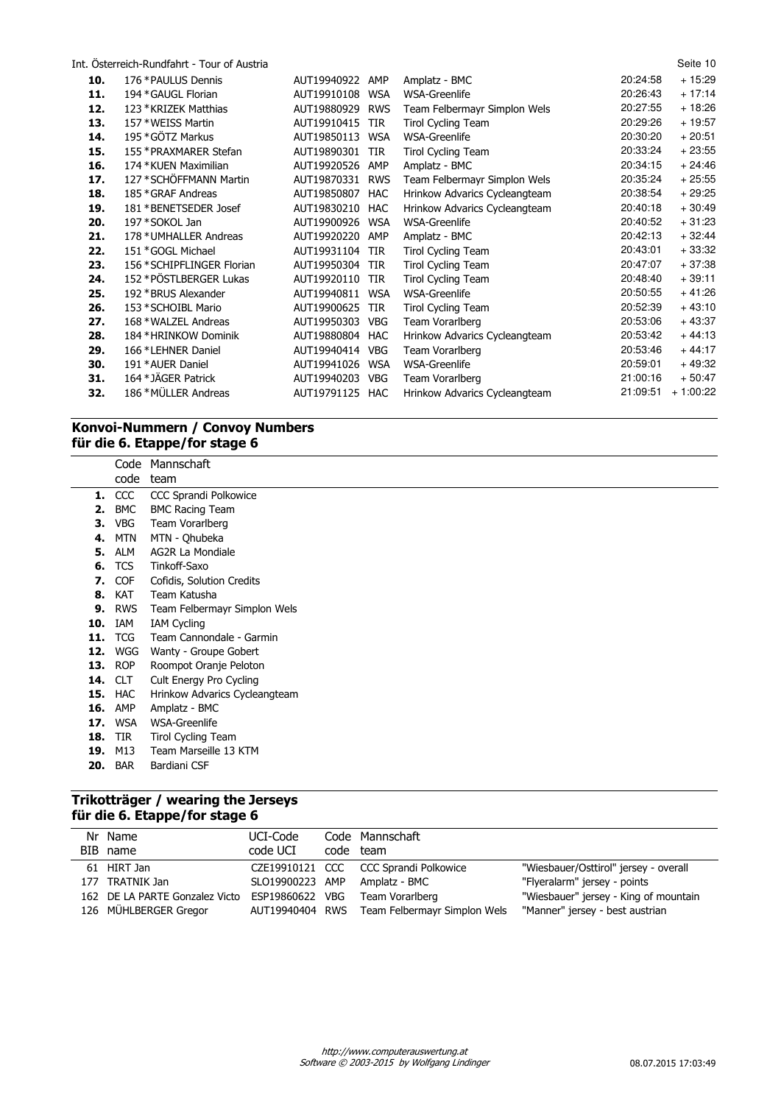| Int. Osterreich-Rundfahrt - Tour of Austria |  |
|---------------------------------------------|--|
|---------------------------------------------|--|

|     | Int. Osterreich-Rundfahrt - Tour of Austria |             |            |                               |          | Seite 10   |
|-----|---------------------------------------------|-------------|------------|-------------------------------|----------|------------|
| 10. | 176 * PAULUS Dennis                         | AUT19940922 | AMP        | Amplatz - BMC                 | 20:24:58 | $+15:29$   |
| 11. | 194 * GAUGL Florian                         | AUT19910108 | <b>WSA</b> | WSA-Greenlife                 | 20:26:43 | $+17:14$   |
| 12. | 123 * KRIZEK Matthias                       | AUT19880929 | <b>RWS</b> | Team Felbermayr Simplon Wels  | 20:27:55 | $+18:26$   |
| 13. | 157 * WEISS Martin                          | AUT19910415 | <b>TIR</b> | Tirol Cycling Team            | 20:29:26 | $+19:57$   |
| 14. | 195 * GÖTZ Markus                           | AUT19850113 | <b>WSA</b> | WSA-Greenlife                 | 20:30:20 | $+20:51$   |
| 15. | 155 * PRAXMARER Stefan                      | AUT19890301 | <b>TIR</b> | <b>Tirol Cycling Team</b>     | 20:33:24 | $+23:55$   |
| 16. | 174 * KUEN Maximilian                       | AUT19920526 | AMP        | Amplatz - BMC                 | 20:34:15 | $+24:46$   |
| 17. | 127 * SCHÖFFMANN Martin                     | AUT19870331 | <b>RWS</b> | Team Felbermayr Simplon Wels  | 20:35:24 | $+25:55$   |
| 18. | 185 * GRAF Andreas                          | AUT19850807 | <b>HAC</b> | Hrinkow Advarics Cycleangteam | 20:38:54 | $+29:25$   |
| 19. | 181 * BENETSEDER Josef                      | AUT19830210 | HAC        | Hrinkow Advarics Cycleangteam | 20:40:18 | $+30:49$   |
| 20. | 197 * SOKOL Jan                             | AUT19900926 | <b>WSA</b> | WSA-Greenlife                 | 20:40:52 | $+31:23$   |
| 21. | 178 * UMHALLER Andreas                      | AUT19920220 | AMP        | Amplatz - BMC                 | 20:42:13 | $+32:44$   |
| 22. | 151 * GOGL Michael                          | AUT19931104 | <b>TIR</b> | Tirol Cycling Team            | 20:43:01 | $+33:32$   |
| 23. | 156 * SCHIPFLINGER Florian                  | AUT19950304 | <b>TIR</b> | <b>Tirol Cycling Team</b>     | 20:47:07 | $+37:38$   |
| 24. | 152 * PÖSTLBERGER Lukas                     | AUT19920110 | <b>TIR</b> | Tirol Cycling Team            | 20:48:40 | $+39:11$   |
| 25. | 192 * BRUS Alexander                        | AUT19940811 | <b>WSA</b> | WSA-Greenlife                 | 20:50:55 | $+41:26$   |
| 26. | 153 * SCHOIBL Mario                         | AUT19900625 | <b>TIR</b> | Tirol Cycling Team            | 20:52:39 | $+43:10$   |
| 27. | 168 * WALZEL Andreas                        | AUT19950303 | VBG        | Team Vorarlberg               | 20:53:06 | $+43:37$   |
| 28. | 184 * HRINKOW Dominik                       | AUT19880804 | HAC        | Hrinkow Advarics Cycleangteam | 20:53:42 | $+44:13$   |
| 29. | 166 *LEHNER Daniel                          | AUT19940414 | <b>VBG</b> | Team Vorarlberg               | 20:53:46 | $+44:17$   |
| 30. | 191 * AUER Daniel                           | AUT19941026 | <b>WSA</b> | WSA-Greenlife                 | 20:59:01 | $+49:32$   |
| 31. | 164 * JÄGER Patrick                         | AUT19940203 | <b>VBG</b> | Team Vorarlberg               | 21:00:16 | $+50:47$   |
| 32. | 186 * MÜLLER Andreas                        | AUT19791125 | HAC        | Hrinkow Advarics Cycleangteam | 21:09:51 | $+1:00:22$ |

# **Konvoi-Nummern / Convoy Numbers für die 6. Etappe/for stage 6**

|     |               | Code Mannschaft               |
|-----|---------------|-------------------------------|
|     | code          | team                          |
|     | <b>1.</b> CCC | CCC Sprandi Polkowice         |
| 2.  | <b>BMC</b>    | <b>BMC Racing Team</b>        |
| З.  | <b>VBG</b>    | Team Vorarlberg               |
| 4.  | MTN           | MTN - Qhubeka                 |
| 5.  | ALM           | AG2R La Mondiale              |
| 6.  | <b>TCS</b>    | Tinkoff-Saxo                  |
| 7.  | <b>COF</b>    | Cofidis, Solution Credits     |
| 8.  | KAT           | Team Katusha                  |
| 9.  | <b>RWS</b>    | Team Felbermayr Simplon Wels  |
| 10. | IAM           | <b>IAM Cycling</b>            |
| 11. | <b>TCG</b>    | Team Cannondale - Garmin      |
| 12. | WGG           | Wanty - Groupe Gobert         |
| 13. | <b>ROP</b>    | Roompot Oranje Peloton        |
| 14. | <b>CLT</b>    | Cult Energy Pro Cycling       |
| 15. | HAC           | Hrinkow Advarics Cycleangteam |
| 16. | AMP           | Amplatz - BMC                 |
| 17. | <b>WSA</b>    | WSA-Greenlife                 |
| 18. | <b>TIR</b>    | Tirol Cycling Team            |
| 19. | M13           | Team Marseille 13 KTM         |
| 20. | <b>BAR</b>    | Bardiani CSF                  |
|     |               |                               |

# **Trikotträger / wearing the Jerseys für die 6. Etappe/for stage 6**

| Nr Name                        | UCI-Code        | Code Mannschaft                              |                                       |
|--------------------------------|-----------------|----------------------------------------------|---------------------------------------|
| BIB name                       | code UCI        | code team                                    |                                       |
| 61 HIRT Jan                    |                 | CZE19910121 CCC CCC Sprandi Polkowice        | "Wiesbauer/Osttirol" jersey - overall |
| 177 TRATNIK Jan                |                 | SLO19900223 AMP Amplatz - BMC                | "Flyeralarm" jersey - points          |
| 162 DE LA PARTE Gonzalez Victo | ESP19860622 VBG | Team Vorarlberg                              | "Wiesbauer" jersey - King of mountain |
| 126 MÜHLBERGER Gregor          |                 | AUT19940404 RWS Team Felbermayr Simplon Wels | "Manner" jersey - best austrian       |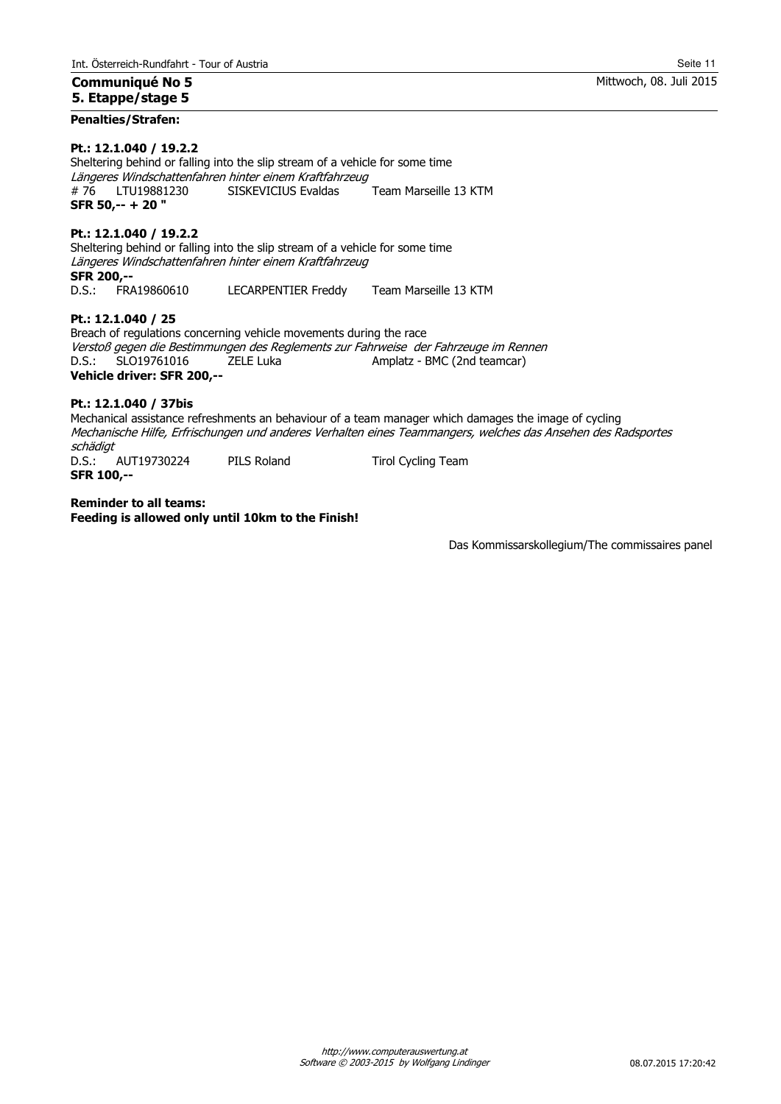#### **Communiqué No 5 5. Etappe/stage 5**

#### **Penalties/Strafen:**

#### **Pt.: 12.1.040 / 19.2.2**

Sheltering behind or falling into the slip stream of a vehicle for some time Längeres Windschattenfahren hinter einem Kraftfahrzeug # 76 LTU19881230 SISKEVICIUS Evaldas Team Marseille 13 KTM **SFR 50,-- + 20 "**

#### **Pt.: 12.1.040 / 19.2.2**

Sheltering behind or falling into the slip stream of a vehicle for some time Längeres Windschattenfahren hinter einem Kraftfahrzeug **SFR 200,--** D.S.: FRA19860610 LECARPENTIER Freddy Team Marseille 13 KTM

**Pt.: 12.1.040 / 25**

Breach of regulations concerning vehicle movements during the race Verstoß gegen die Bestimmungen des Reglements zur Fahrweise der Fahrzeuge im Rennen D.S.: SLO19761016 ZELE Luka Amplatz - BMC (2nd teamcar) **Vehicle driver: SFR 200,--**

#### **Pt.: 12.1.040 / 37bis**

Mechanical assistance refreshments an behaviour of a team manager which damages the image of cycling Mechanische Hilfe, Erfrischungen und anderes Verhalten eines Teammangers, welches das Ansehen des Radsportes *schädigt*<br>D.S.: AUT19730224 D.S.: AUT19730224 PILS Roland Tirol Cycling Team **SFR 100,--**

**Reminder to all teams: Feeding is allowed only until 10km to the Finish!**

Das Kommissarskollegium/The commissaires panel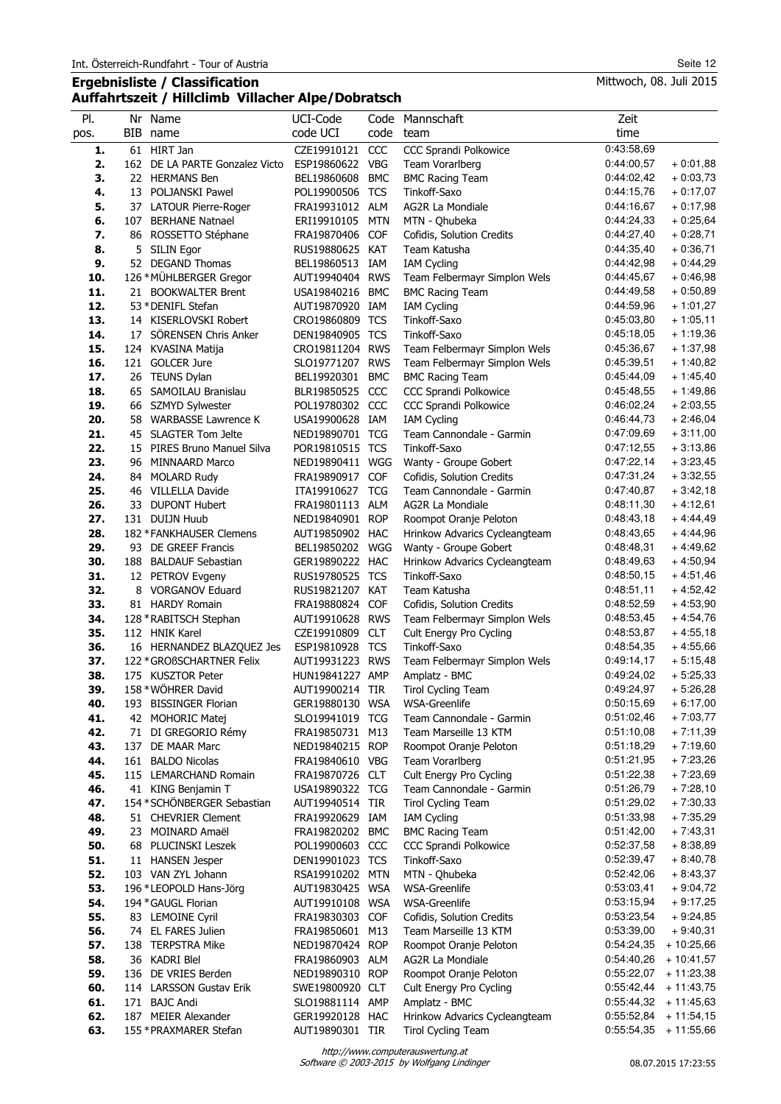## **Ergebnisliste / Classification Auffahrtszeit / Hillclimb Villacher Alpe/Dobratsch**

| PI.        | Nr Name                                                | UCI-Code                           |            | Code Mannschaft                                        | Zeit                                  |                          |
|------------|--------------------------------------------------------|------------------------------------|------------|--------------------------------------------------------|---------------------------------------|--------------------------|
| pos.       | BIB name                                               | code UCI                           | code       | team                                                   | time                                  |                          |
| 1.         | 61 HIRT Jan                                            | CZE19910121 CCC                    |            | CCC Sprandi Polkowice                                  | 0:43:58.69                            |                          |
| 2.         | 162 DE LA PARTE Gonzalez Victo                         | ESP19860622 VBG                    |            | Team Vorarlberg                                        | 0:44:00,57                            | $+0:01,88$               |
| 3.         | 22 HERMANS Ben                                         | BEL19860608                        | <b>BMC</b> | <b>BMC Racing Team</b>                                 | 0:44:02,42                            | $+0:03,73$               |
| 4.         | 13 POLJANSKI Pawel                                     | POL19900506 TCS                    |            | Tinkoff-Saxo                                           | 0:44:15,76                            | $+0.17,07$               |
| 5.         | 37 LATOUR Pierre-Roger                                 | FRA19931012 ALM                    |            | AG2R La Mondiale                                       | 0:44:16,67                            | $+0.17,98$               |
| 6.         | 107 BERHANE Natnael                                    | ERI19910105 MTN                    |            | MTN - Qhubeka                                          | 0:44:24,33                            | $+0:25,64$               |
| 7.         | 86 ROSSETTO Stéphane                                   | FRA19870406 COF                    |            | Cofidis, Solution Credits                              | 0:44:27,40                            | $+0:28,71$               |
| 8.<br>9.   | 5 SILIN Egor<br>52 DEGAND Thomas                       | RUS19880625 KAT<br>BEL19860513 IAM |            | Team Katusha                                           | 0:44:35,40<br>0:44:42,98              | $+0:36,71$               |
| 10.        | 126 * MÜHLBERGER Gregor                                | AUT19940404 RWS                    |            | <b>IAM Cycling</b>                                     | 0:44:45,67                            | $+0:44,29$<br>$+0:46,98$ |
| 11.        | 21 BOOKWALTER Brent                                    | USA19840216 BMC                    |            | Team Felbermayr Simplon Wels<br><b>BMC Racing Team</b> | 0:44:49,58                            | $+0:50,89$               |
| 12.        | 53 * DENIFL Stefan                                     | AUT19870920 IAM                    |            | <b>IAM Cycling</b>                                     | 0:44:59,96                            | $+1:01,27$               |
| 13.        | 14 KISERLOVSKI Robert                                  | CRO19860809 TCS                    |            | Tinkoff-Saxo                                           | 0:45:03,80                            | $+1:05,11$               |
| 14.        | 17 SÖRENSEN Chris Anker                                | DEN19840905 TCS                    |            | Tinkoff-Saxo                                           | 0:45:18,05                            | $+1:19,36$               |
| 15.        | 124 KVASINA Matija                                     | CRO19811204 RWS                    |            | Team Felbermayr Simplon Wels                           | 0:45:36,67                            | $+1:37,98$               |
| 16.        | 121 GOLCER Jure                                        | SLO19771207 RWS                    |            | Team Felbermayr Simplon Wels                           | 0:45:39,51                            | $+1:40,82$               |
| 17.        | 26 TEUNS Dylan                                         | BEL19920301 BMC                    |            | <b>BMC Racing Team</b>                                 | 0:45:44,09                            | $+1:45,40$               |
| 18.        | 65 SAMOILAU Branislau                                  | BLR19850525 CCC                    |            | CCC Sprandi Polkowice                                  | 0:45:48,55                            | $+1:49,86$               |
| 19.        | 66 SZMYD Sylwester                                     | POL19780302 CCC                    |            | CCC Sprandi Polkowice                                  | 0:46:02,24                            | $+2:03,55$               |
| 20.        | 58 WARBASSE Lawrence K                                 | USA19900628 IAM                    |            | <b>IAM Cycling</b>                                     | 0:46:44,73                            | $+2:46,04$               |
| 21.        | 45 SLAGTER Tom Jelte                                   | NED19890701 TCG                    |            | Team Cannondale - Garmin                               | 0:47:09,69                            | $+3:11,00$               |
| 22.        | 15 PIRES Bruno Manuel Silva                            | POR19810515 TCS                    |            | Tinkoff-Saxo                                           | 0:47:12,55                            | $+3:13,86$               |
| 23.        | 96 MINNAARD Marco                                      | NED19890411 WGG                    |            | Wanty - Groupe Gobert                                  | 0:47:22,14                            | $+3:23,45$               |
| 24.        | 84 MOLARD Rudy                                         | FRA19890917 COF                    |            | Cofidis, Solution Credits                              | 0:47:31,24                            | $+3:32,55$               |
| 25.        | 46 VILLELLA Davide                                     | ITA19910627                        | <b>TCG</b> | Team Cannondale - Garmin                               | 0:47:40,87                            | $+3:42,18$               |
| 26.        | 33 DUPONT Hubert                                       | FRA19801113 ALM                    |            | AG2R La Mondiale                                       | 0:48:11,30                            | $+4:12,61$               |
| 27.        | 131 DUIJN Huub                                         | NED19840901 ROP                    |            | Roompot Oranje Peloton                                 | 0:48:43,18                            | $+4:44,49$               |
| 28.        | 182 * FANKHAUSER Clemens                               | AUT19850902 HAC                    |            | Hrinkow Advarics Cycleangteam                          | 0:48:43,65                            | + 4:44,96                |
| 29.        | 93 DE GREEF Francis                                    | BEL19850202 WGG                    |            | Wanty - Groupe Gobert                                  | 0:48:48,31                            | $+4:49,62$               |
| 30.        | 188 BALDAUF Sebastian                                  | GER19890222 HAC                    |            | Hrinkow Advarics Cycleangteam                          | 0:48:49,63                            | $+4:50,94$               |
| 31.        | 12 PETROV Evgeny                                       | RUS19780525 TCS                    |            | Tinkoff-Saxo                                           | 0:48:50,15                            | $+4:51,46$               |
| 32.        | 8 VORGANOV Eduard                                      | RUS19821207 KAT                    |            | Team Katusha                                           | 0:48:51,11                            | $+4:52,42$               |
| 33.        | 81 HARDY Romain                                        | FRA19880824 COF                    |            | Cofidis, Solution Credits                              | 0:48:52,59                            | $+4:53,90$               |
| 34.        | 128 * RABITSCH Stephan                                 | AUT19910628 RWS                    |            | Team Felbermayr Simplon Wels                           | 0:48:53.45                            | $+4:54,76$               |
| 35.        | 112 HNIK Karel                                         | CZE19910809 CLT                    |            | Cult Energy Pro Cycling                                | 0:48:53,87                            | $+4:55,18$               |
| 36.<br>37. | 16 HERNANDEZ BLAZQUEZ Jes<br>122 * GROßSCHARTNER Felix | ESP19810928 TCS<br>AUT19931223 RWS |            | Tinkoff-Saxo                                           | 0:48:54,35<br>0:49:14,17              | $+4:55,66$<br>$+5:15,48$ |
| 38.        | 175 KUSZTOR Peter                                      | HUN19841227 AMP                    |            | Team Felbermayr Simplon Wels<br>Amplatz - BMC          | 0:49:24,02                            | $+5:25,33$               |
| 39.        | 158 * WÖHRER David                                     | AUT19900214 TIR                    |            | <b>Tirol Cycling Team</b>                              | 0:49:24,97                            | $+5:26,28$               |
| 40.        | 193 BISSINGER Florian                                  | GER19880130 WSA                    |            | <b>WSA-Greenlife</b>                                   | 0:50:15,69                            | $+6:17,00$               |
| 41.        | 42 MOHORIC Matej                                       | SLO19941019 TCG                    |            | Team Cannondale - Garmin                               | 0:51:02,46                            | $+7:03,77$               |
| 42.        | 71 DI GREGORIO Rémy                                    | FRA19850731 M13                    |            | Team Marseille 13 KTM                                  | 0:51:10,08                            | $+7:11,39$               |
| 43.        | 137 DE MAAR Marc                                       | NED19840215 ROP                    |            | Roompot Oranje Peloton                                 | 0:51:18,29                            | $+7:19,60$               |
| 44.        | 161 BALDO Nicolas                                      | FRA19840610 VBG                    |            | Team Vorarlberg                                        | 0:51:21,95                            | $+7:23,26$               |
| 45.        | 115 LEMARCHAND Romain                                  | FRA19870726 CLT                    |            | Cult Energy Pro Cycling                                | 0:51:22,38                            | $+7:23,69$               |
| 46.        | 41 KING Benjamin T                                     | USA19890322 TCG                    |            | Team Cannondale - Garmin                               | 0:51:26,79                            | $+7:28,10$               |
| 47.        | 154 * SCHÖNBERGER Sebastian                            | AUT19940514 TIR                    |            | <b>Tirol Cycling Team</b>                              | 0:51:29,02                            | $+7:30,33$               |
| 48.        | 51 CHEVRIER Clement                                    | FRA19920629 IAM                    |            | <b>IAM Cycling</b>                                     | 0:51:33,98                            | $+7:35,29$               |
| 49.        | 23 MOINARD Amaël                                       | FRA19820202 BMC                    |            | <b>BMC Racing Team</b>                                 | 0:51:42,00                            | $+7:43,31$               |
| 50.        | 68 PLUCINSKI Leszek                                    | POL19900603 CCC                    |            | CCC Sprandi Polkowice                                  | 0:52:37,58                            | $+8:38,89$               |
| 51.        | 11 HANSEN Jesper                                       | DEN19901023 TCS                    |            | Tinkoff-Saxo                                           | 0:52:39,47                            | $+8:40,78$               |
| 52.        | 103 VAN ZYL Johann                                     | RSA19910202 MTN                    |            | MTN - Qhubeka                                          | 0:52:42,06                            | $+8:43,37$               |
| 53.        | 196 *LEOPOLD Hans-Jörg                                 | AUT19830425 WSA                    |            | <b>WSA-Greenlife</b>                                   | 0:53:03,41                            | $+9:04,72$               |
| 54.        | 194 * GAUGL Florian                                    | AUT19910108 WSA                    |            | <b>WSA-Greenlife</b>                                   | 0:53:15,94                            | $+9:17,25$               |
| 55.        | 83 LEMOINE Cyril                                       | FRA19830303 COF                    |            | Cofidis, Solution Credits                              | 0:53:23,54                            | $+9:24,85$               |
| 56.        | 74 EL FARES Julien                                     | FRA19850601 M13                    |            | Team Marseille 13 KTM                                  | 0:53:39,00                            | $+9:40,31$               |
| 57.        | 138 TERPSTRA Mike                                      | NED19870424 ROP                    |            | Roompot Oranje Peloton                                 | 0:54:24,35                            | $+10:25,66$              |
| 58.        | 36 KADRI Blel<br>136 DE VRIES Berden                   | FRA19860903 ALM                    |            | AG2R La Mondiale                                       | 0:54:40,26<br>$0:55:22,07$ + 11:23,38 | $+10:41,57$              |
| 59.<br>60. | 114 LARSSON Gustav Erik                                | NED19890310 ROP<br>SWE19800920 CLT |            | Roompot Oranje Peloton                                 | 0:55:42,44                            | $+11:43,75$              |
| 61.        | 171 BAJC Andi                                          | SLO19881114 AMP                    |            | Cult Energy Pro Cycling<br>Amplatz - BMC               | 0:55:44,32                            | $+11:45,63$              |
| 62.        | 187 MEIER Alexander                                    | GER19920128 HAC                    |            | Hrinkow Advarics Cycleangteam                          | 0:55:52,84                            | $+11:54,15$              |
| 63.        | 155 * PRAXMARER Stefan                                 | AUT19890301 TIR                    |            | <b>Tirol Cycling Team</b>                              | 0:55:54,35                            | $+11:55,66$              |
|            |                                                        |                                    |            |                                                        |                                       |                          |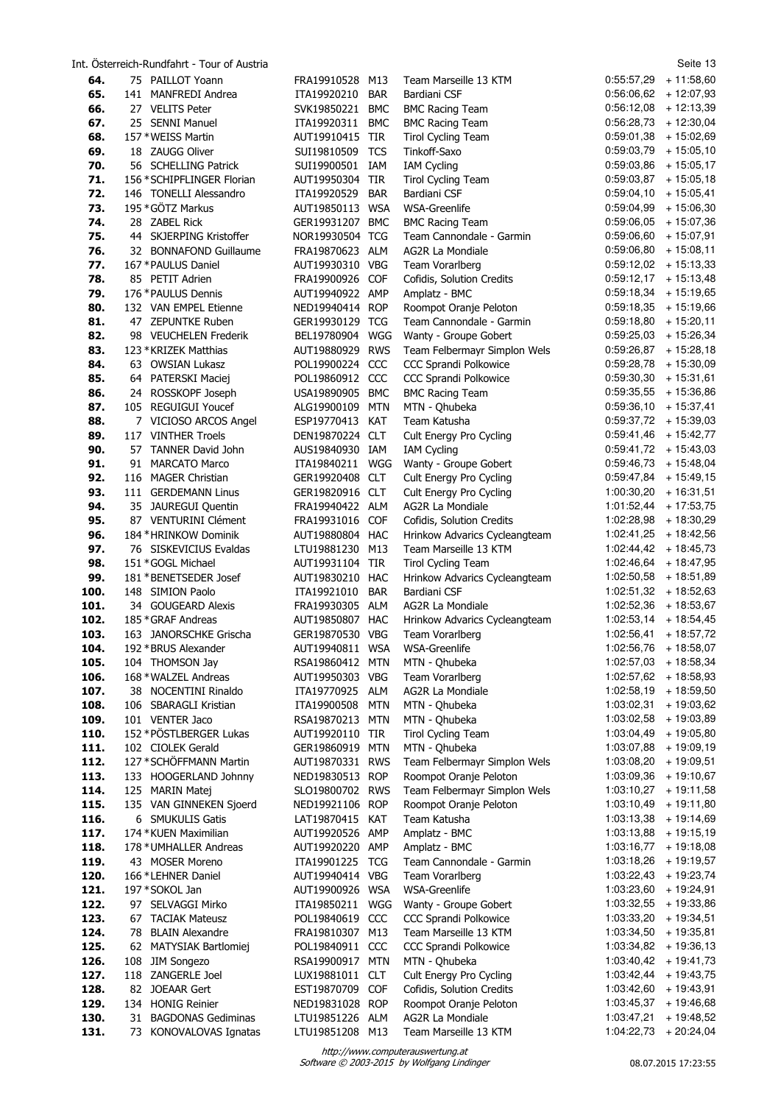Int. Österreich-Rundfahrt - Tour of Austria Seite 13 **64.** 75 PAILLOT Yoann FRA19910528 M13 Team Marseille 13 KTM 0:55:57,29 + 11:58,60 **65.** 141 MANFREDI Andrea **ITA19920210 BAR** Bardiani CSF **66.** 27 VELITS Peter SVK19850221 BMC BMC Racing Team 0:56:12,08 + 12:13,39 **67.** 25 SENNI Manuel ITA19920311 BMC BMC Racing Team 0:56:28,73 + 12:30,04 **68.** 157 \*WEISS Martin AUT19910415 TIR Tirol Cycling Team 0:59:01,38 + 15:02,69 **69.** 18 ZAUGG Oliver SUI19810509 TCS Tinkoff-Saxo 0:59:03,79 + 15:05,10 **70. 50119900501 IAM IAM Cycling 10.59:03,86 + 15:05,17 71.** 156 \*SCHIPFLINGER Florian AUT19950304 TIR Tirol Cycling Team  $0.59:03,87 + 15:05,18$ <br> **72.** 146 TONELLI Alessandro ITA19920529 BAR Bardiani CSF 10:05:004,10 + 15:05,41 **72.** 146 TONELLI Alessandro ITA19920529 BAR Bardiani CSF **73.** 195 \*GÖTZ Markus AUT19850113 WSA WSA-Greenlife 0:59:04,99 + 15:06,30 **74.** 28 ZABEL Rick GER19931207 BMC BMC Racing Team 0:59:06,05 + 15:07,36<br>**75.** 44 SKJERPING Kristoffer NOR19930504 TCG Team Cannondale - Garmin 0:59:06,60 + 15:07,91 **75.** 44 SKJERPING Kristoffer NOR19930504 TCG Team Cannondale - Garmin **76.** 32 BONNAFOND Guillaume FRA19870623 ALM AG2R La Mondiale 0:59:06,80 + 15:08,11 **77.** 167 \*PAULUS Daniel **AUT19930310 VBG** Team Vorarlberg **0:59:12,02 + 15:13,33 78.** 85 PETIT Adrien FRA19900926 COF Cofidis, Solution Credits 0:59:12,17 + 15:13,48 **79.** 176 \*PAULUS Dennis AUT19940922 AMP Amplatz - BMC 0:59:18,34 + 15:19,65 **80.** 132 VAN EMPEL Etienne NED19940414 ROP Roompot Oranje Peloton 0:59:18,35 + 15:19,66 **81.** 47 ZEPUNTKE Ruben GER19930129 TCG Team Cannondale - Garmin 0:59:18,80 + 15:20,11 82. 98 VEUCHELEN Frederik BEL19780904 WGG Wanty - Groupe Gobert 0:59:25,03 + 15:26,34 **83.** 123 \*KRIZEK Matthias AUT19880929 RWS Team Felbermayr Simplon Wels 0:59:26,87 + 15:28,18 **84.** 63 OWSIAN Lukasz POL19900224 CCC CCC Sprandi Polkowice 0:59:28,78 + 15:30,09 **85.** 64 PATERSKI Maciej POL19860912 CCC CCC Sprandi Polkowice 0:59:30,30 + 15:31,61 **86.** 24 ROSSKOPF Joseph USA19890905 BMC BMC Racing Team 0:59:35,55 + 15:36,86 **87.** 105 REGUIGUI Youcef ALG19900109 MTN MTN - Qhubeka 0:59:36,10 + 15:37,41 **88.** 7 VICIOSO ARCOS Angel ESP19770413 KAT Team Katusha 0:59:37,72 + 15:39,03 **89.** 117 VINTHER Troels DEN19870224 CLT Cult Energy Pro Cycling 0:59:41,46 + 15:42,77 **90.** 57 TANNER David John AUS19840930 IAM IAM Cycling 0:59:41,72 + 15:43,03 **91.** 91 MARCATO Marco ITA19840211 WGG Wanty - Groupe Gobert 0:59:46,73 + 15:48,04 **92.** 116 MAGER Christian GER19920408 CLT Cult Energy Pro Cycling 0:59:47,84 + 15:49,15 **93.** 111 GERDEMANN Linus GER19820916 CLT Cult Energy Pro Cycling 1:00:30,20 + 16:31,51 **94.** 35 JAUREGUI Quentin FRA19940422 ALM AG2R La Mondiale 1:01:52,44 + 17:53,75 **95.** 87 VENTURINI Clément FRA19931016 COF Cofidis, Solution Credits 1:02:28,98 + 18:30,29 **96.** 184 \*HRINKOW Dominik AUT19880804 HAC Hrinkow Advarics Cycleangteam 1:02:41,25 + 18:42,56 **97.** 76 SISKEVICIUS Evaldas LTU19881230 M13 Team Marseille 13 KTM 1:02:44,42 + 18:45,73 **98.** 151 \*GOGL Michael AUT19931104 TIR Tirol Cycling Team 1:02:46,64 + 18:47,95 **99.** 181 \*BENETSEDER Josef AUT19830210 HAC Hrinkow Advarics Cycleangteam 1:02:50,58 + 18:51,89 **100.** 148 SIMION Paolo ITA19921010 BAR Bardiani CSF 1:02:51,32 + 18:52,63 **101.** 34 GOUGEARD Alexis FRA19930305 ALM AG2R La Mondiale 1:02:52,36 + 18:53,67<br>**102.** 185 \*GRAF Andreas AUT19850807 HAC Hrinkow Advarics Cycleangteam 1:02:53,14 + 18:54,45 **102.** 185 \*GRAF Andreas **AUT19850807 HAC Hrinkow Advarics Cycleangteam 103.** 163 JANORSCHKE Grischa GER19870530 VBG Team Vorarlberg 1:02:56,41 + 18:57,72 **104.** 192 \*BRUS Alexander AUT19940811 WSA WSA-Greenlife 1:02:56,76 + 18:58,07 **105.** 104 THOMSON Jay **RSA19860412 MTN MTN - Qhubeka** 1:02:57,03 + 18:58,34 **106.** 168 \*WALZEL Andreas AUT19950303 VBG Team Vorarlberg 1:02:57,62 + 18:58,93 **107.** 38 NOCENTINI Rinaldo ITA19770925 ALM AG2R La Mondiale 1:02:58,19 + 18:59,50 **108.** 106 SBARAGLI Kristian 1TA19900508 MTN MTN - Qhubeka 1:03:02,31 + 19:03,62 **109.** 101 VENTER Jaco RSA19870213 MTN MTN - Qhubeka 1:03:02,58 + 19:03,89 **110.** 152 \*PÖSTLBERGER Lukas AUT19920110 TIR Tirol Cycling Team 1:03:04,49 + 19:05,80 **111.** 102 CIOLEK Gerald GER19860919 MTN MTN - Qhubeka 1:03:07,88 + 19:09,19 **112.** 127 \*SCHÖFFMANN Martin AUT19870331 RWS Team Felbermayr Simplon Wels 1:03:08,20 + 19:09,51 **113.** 133 HOOGERLAND Johnny NED19830513 ROP Roompot Oranje Peloton 1:03:09,36 + 19:10,67 **114.** 125 MARIN Matej SLO19800702 RWS Team Felbermayr Simplon Wels 1:03:10,27 + 19:11,58 **115.** 135 VAN GINNEKEN Sjoerd NED19921106 ROP Roompot Oranje Peloton 1:03:10,49 + 19:11,80 **116.** 6 SMUKULIS Gatis LAT19870415 KAT Team Katusha 1:03:13,38 + 19:14,69 **117.** 174 \*KUEN Maximilian AUT19920526 AMP Amplatz - BMC 1:03:13,88 + 19:15,19 **118.** 178 \*UMHALLER Andreas AUT19920220 AMP Amplatz - BMC 1:03:16,77 + 19:18,08 **119.** 43 MOSER Moreno ITA19901225 TCG Team Cannondale - Garmin 1:03:18,26 + 19:19,57 **120.** 166 \*LEHNER Daniel AUT19940414 VBG Team Vorarlberg 1:03:22,43 + 19:23,74 **121.** 197 \*SOKOL Jan AUT19900926 WSA WSA-Greenlife 1:03:23,60 + 19:24,91 **122.** 97 SELVAGGI Mirko ITA19850211 WGG Wanty - Groupe Gobert 1:03:32,55 + 19:33,86 **123.** 67 TACIAK Mateusz POL19840619 CCC CCC Sprandi Polkowice 1:03:33,20 + 19:34,51 **124.** 78 BLAIN Alexandre FRA19810307 M13 Team Marseille 13 KTM 1:03:34,50 + 19:35,81 **125.** 62 MATYSIAK Bartlomiej POL19840911 CCC CCC Sprandi Polkowice 1:03:34,82 + 19:36,13 **126.** 108 JIM Songezo RSA19900917 MTN MTN - Qhubeka 1:03:40,42 + 19:41,73 **127.** 118 ZANGERLE Joel LUX19881011 CLT Cult Energy Pro Cycling 1:03:42,44 + 19:43,75 **128.** 82 JOEAAR Gert EST19870709 COF Cofidis, Solution Credits 1:03:42,60 + 19:43,91 **129.** 134 HONIG Reinier NED19831028 ROP Roompot Oranje Peloton 1:03:45,37 + 19:46,68 **130.** 31 BAGDONAS Gediminas LTU19851226 ALM AG2R La Mondiale 1:03:47,21 + 19:48,52 **131.** 73 KONOVALOVAS Ignatas LTU19851208 M13 Team Marseille 13 KTM 1:04:22,73 + 20:24,04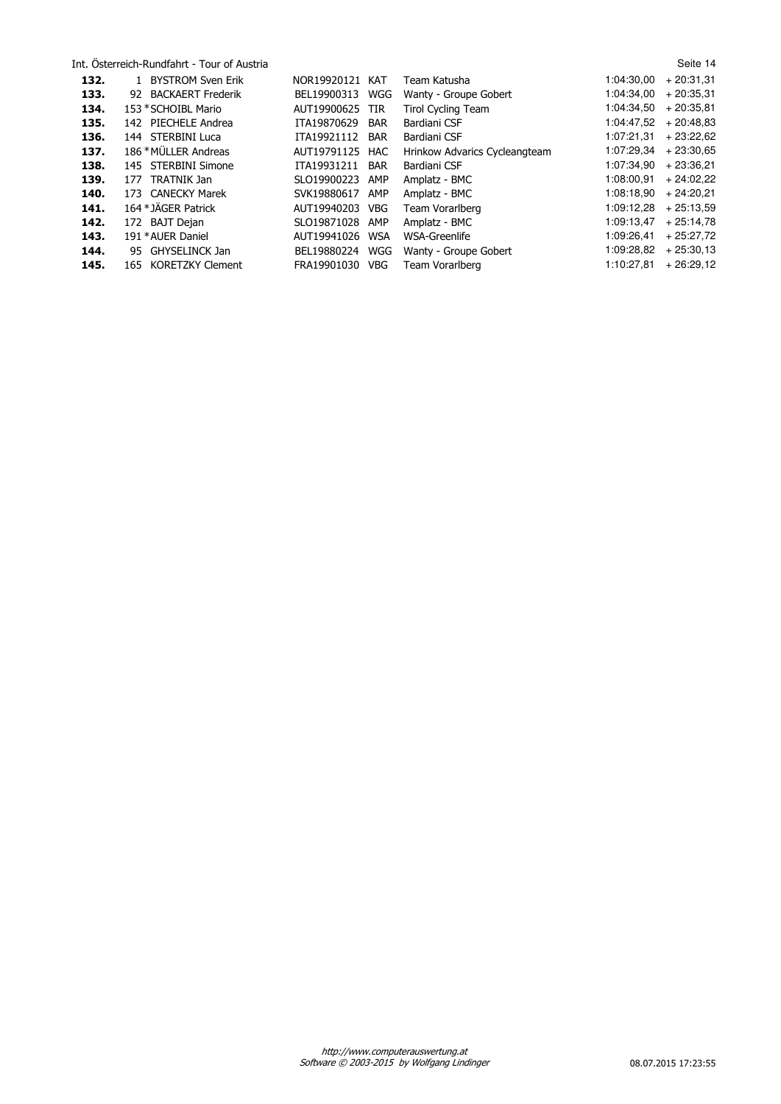|      | Int. Osterreich-Rundfahrt - Tour of Austria |                 |            |                               |            | Seite 14    |
|------|---------------------------------------------|-----------------|------------|-------------------------------|------------|-------------|
| 132. | 1 BYSTROM Sven Erik                         | NOR19920121     | KAT        | Team Katusha                  | 1:04:30.00 | $+20:31.31$ |
| 133. | 92 BACKAERT Frederik                        | BEL19900313     | WGG        | Wanty - Groupe Gobert         | 1:04:34.00 | $+20:35.31$ |
| 134. | 153 * SCHOIBL Mario                         | AUT19900625 TIR |            | <b>Tirol Cycling Team</b>     | 1:04:34.50 | $+20:35.81$ |
| 135. | 142 PIECHELE Andrea                         | ITA19870629     | <b>BAR</b> | Bardiani CSF                  | 1:04:47.52 | $+20:48.83$ |
| 136. | 144 STERBINI Luca                           | ITA19921112     | BAR        | Bardiani CSF                  | 1:07:21.31 | $+23:22.62$ |
| 137. | 186 * MÜLLER Andreas                        | AUT19791125     | HAC        | Hrinkow Advarics Cycleangteam | 1:07:29.34 | $+23:30.65$ |
| 138. | 145 STERBINI Simone                         | ITA19931211     | <b>BAR</b> | Bardiani CSF                  | 1:07:34.90 | $+23:36.21$ |
| 139. | TRATNIK Jan<br>177                          | SLO19900223     | AMP        | Amplatz - BMC                 | 1:08:00.91 | $+24:02.22$ |
| 140. | 173 CANECKY Marek                           | SVK19880617     | AMP        | Amplatz - BMC                 | 1:08:18.90 | $+24:20.21$ |
| 141. | 164 * JÄGER Patrick                         | AUT19940203     | <b>VBG</b> | Team Vorarlberg               | 1:09:12,28 | $+25:13.59$ |
| 142. | 172 BAJT Deian                              | SLO19871028     | AMP        | Amplatz - BMC                 | 1:09:13.47 | $+25:14.78$ |
| 143. | 191 * AUER Daniel                           | AUT19941026     | <b>WSA</b> | WSA-Greenlife                 | 1:09:26.41 | $+25:27.72$ |
| 144. | 95 GHYSELINCK Jan                           | BEL19880224     | WGG        | Wanty - Groupe Gobert         | 1:09:28.82 | $+25:30.13$ |
| 145. | 165 KORETZKY Clement                        | FRA19901030     | <b>VBG</b> | Team Vorarlberg               | 1:10:27.81 | $+26:29.12$ |
|      |                                             |                 |            |                               |            |             |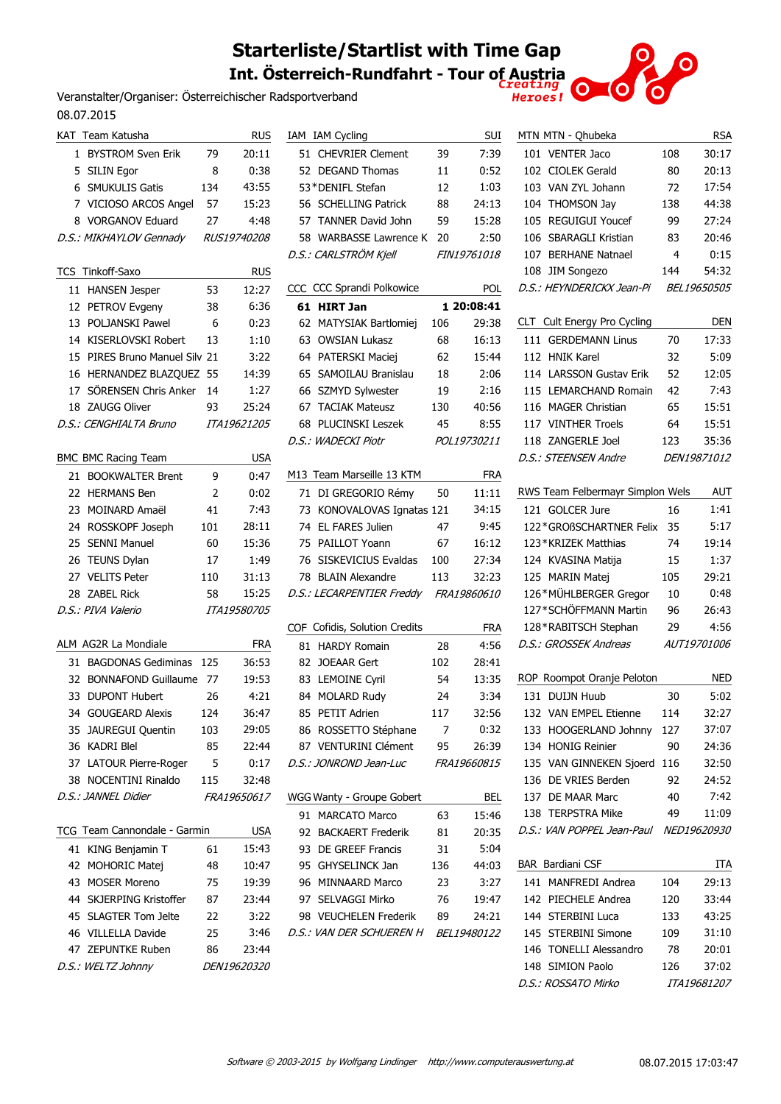# **Starterliste/Startlist with Time Gap Int. Österreich-Rundfahrt - Tour of Austria**

Veranstalter/Organiser: Österreichischer Radsportverband 08.07.2015

|    | KAT Team Katusha              |     | <b>RUS</b>         | IΑ |
|----|-------------------------------|-----|--------------------|----|
| 1  | <b>BYSTROM Sven Erik</b>      | 79  | 20:11              |    |
| 5. | <b>SILIN Egor</b>             | 8   | 0:38               |    |
|    | 6 SMUKULIS Gatis              | 134 | 43:55              |    |
|    | 7 VICIOSO ARCOS Angel 57      |     | 15:23              |    |
|    | 8 VORGANOV Eduard             | 27  | 4:48               |    |
|    | D.S.: MIKHAYLOV Gennady       |     | <i>RUS19740208</i> |    |
|    |                               |     |                    | D  |
|    | <b>TCS Tinkoff-Saxo</b>       |     | <b>RUS</b>         |    |
| 11 | <b>HANSEN Jesper</b>          | 53  | 12:27              | C( |
|    | 12 PETROV Evgeny              | 38  | 6:36               |    |
|    | 13 POLJANSKI Pawel            | 6   | 0:23               |    |
|    | 14 KISERLOVSKI Robert         | 13  | 1:10               |    |
|    | 15 PIRES Bruno Manuel Silv 21 |     | 3:22               |    |
|    | 16 HERNANDEZ BLAZQUEZ         | 55  | 14:39              |    |
|    | 17 SÖRENSEN Chris Anker       | 14  | 1:27               |    |
|    | 18 ZAUGG Oliver               | 93  | 25:24              |    |
|    | D.S.: CENGHIALTA Bruno        |     | <i>ITA19621205</i> |    |
|    |                               |     |                    | D  |
|    | <b>BMC BMC Racing Team</b>    |     | <b>USA</b>         |    |
|    | 21 BOOKWALTER Brent           | 9   | 0:47               | м  |
|    | 22 HERMANS Ben                | 2   | 0:02               |    |
|    | 23 MOINARD Amaël              |     |                    |    |
|    |                               | 41  | 7:43               |    |
|    | 24 ROSSKOPF Joseph            | 101 | 28:11              |    |
|    | 25 SENNI Manuel               | 60  | 15:36              |    |
|    | 26 TEUNS Dylan                | 17  | 1:49               |    |
|    | 27 VELITS Peter               | 110 | 31:13              |    |
|    | 28 ZABEL Rick                 | 58  | 15:25              | D  |
|    | D.S.: PIVA Valerio            |     | <i>ITA19580705</i> |    |
|    |                               |     |                    | C( |
|    | ALM AG2R La Mondiale          |     | <b>FRA</b>         |    |
|    | 31 BAGDONAS Gediminas         | 125 | 36:53              |    |
| 32 | <b>BONNAFOND Guillaume</b>    | 77  | 19:53              |    |
|    | 33 DUPONT Hubert              | 26  | 4:21               |    |
| 34 | <b>GOUGEARD Alexis</b>        | 124 | 36:47              |    |
| 35 | JAUREGUI Quentin              | 103 | 29:05              |    |
|    | 36 KADRI Blel                 | 85  | 22:44              |    |
|    | 37 LATOUR Pierre-Roger        | 5   | 0:17               | D  |
|    | 38 NOCENTINI Rinaldo          | 115 | 32:48              |    |
|    | D.S.: JANNEL Didier           |     | <i>FRA19650617</i> | w  |
|    |                               |     |                    |    |
|    | TCG Team Cannondale - Garmin  |     | <b>USA</b>         |    |
| 41 | KING Benjamin T               | 61  | 15:43              |    |
|    | 42 MOHORIC Matej              | 48  | 10:47              |    |
|    | 43 MOSER Moreno               | 75  | 19:39              |    |
|    | 44 SKJERPING Kristoffer       | 87  | 23:44              |    |
|    | 45 SLAGTER Tom Jelte          | 22  | 3:22               |    |
|    | 46 VILLELLA Davide            | 25  | 3:46               | D  |
|    | 47 ZEPUNTKE Ruben             | 86  | 23:44              |    |
|    | D.S.: WELTZ Johnny            |     | DEN19620320        |    |

|    | IAM IAM Cycling                      |     | <b>SUI</b>         |
|----|--------------------------------------|-----|--------------------|
|    | 51 CHEVRIER Clement                  | 39  | 7:39               |
|    | 52 DEGAND Thomas                     | 11  | 0:52               |
|    | 53*DENIFL Stefan                     | 12  | 1:03               |
|    | 56 SCHELLING Patrick                 | 88  | 24:13              |
|    | 57 TANNER David John                 | 59  | 15:28              |
|    | 58 WARBASSE Lawrence K               | 20  | 2:50               |
|    | D.S.: CARLSTRÖM Kjell                |     | <i>FIN19761018</i> |
|    | CCC CCC Sprandi Polkowice            |     | pol                |
| 61 | <b>HIRT Jan</b>                      |     | 1 20:08:41         |
| 62 | <b>MATYSIAK Bartlomiej</b>           | 106 | 29:38              |
|    | 63 OWSIAN Lukasz                     | 68  | 16:13              |
|    | 64 PATERSKI Maciej                   | 62  | 15:44              |
|    | 65 SAMOILAU Branislau                | 18  | 2:06               |
|    | 66 SZMYD Sylwester                   | 19  | 2:16               |
|    | 67 TACIAK Mateusz                    | 130 | 40:56              |
| 68 | <b>PLUCINSKI Leszek</b>              | 45  | 8:55               |
|    | D.S.: WADECKI Piotr                  |     | POL19730211        |
|    | M13 Team Marseille 13 KTM            |     | <b>FRA</b>         |
|    | 71 DI GREGORIO Rémy                  | 50  | 11:11              |
|    | 73 KONOVALOVAS Ignatas 121           |     | 34:15              |
|    | 74 EL FARES Julien                   | 47  | 9:45               |
|    | 75 PAILLOT Yoann                     | 67  | 16:12              |
|    | 76 SISKEVICIUS Evaldas               | 100 | 27:34              |
|    | 78 BLAIN Alexandre                   | 113 | 32:23              |
|    | D.S.: LECARPENTIER Freddy            |     | <i>FRA19860610</i> |
|    | COF Cofidis, Solution Credits        |     | <b>FRA</b>         |
|    | 81 HARDY Romain                      | 28  | 4:56               |
|    | 82 JOEAAR Gert                       | 102 | 28:41              |
|    | 83 LEMOINE Cyril                     | 54  | 13:35              |
|    | 84 MOLARD Rudy                       | 24  | 3:34               |
|    | 85 PETIT Adrien                      | 117 | 32:56              |
|    | 86 ROSSETTO Stéphane                 | 7   | 0:32               |
|    | 87 VENTURINI Clément                 | 95  | 26:39              |
|    | D.S.: JONROND Jean-Luc               |     | <i>FRA19660815</i> |
|    |                                      |     |                    |
|    | WGG Wanty - Groupe Gobert            |     | BEL                |
|    | 91 MARCATO Marco                     | 63  | 15:46              |
|    | 92 BACKAERT Frederik                 | 81  | 20:35              |
|    | 93 DE GREEF Francis                  | 31  | 5:04               |
|    | 95 GHYSELINCK Jan                    | 136 | 44:03              |
|    | 96 MINNAARD Marco                    | 23  | 3:27               |
|    | 97 SELVAGGI Mirko                    |     | 76 19:47           |
|    | 98 VEUCHELEN Frederik 89             |     | 24:21              |
|    | D.S.: VAN DER SCHUEREN H BEL19480122 |     |                    |
|    |                                      |     |                    |
|    |                                      |     |                    |

| MTN MTN - Qhubeka                |     | rsa                |
|----------------------------------|-----|--------------------|
| 101 VENTER Jaco                  | 108 | 30:17              |
| 102 CIOLEK Gerald                | 80  | 20:13              |
| 103 VAN ZYL Johann               | 72  | 17:54              |
| <b>THOMSON Jav</b><br>104        | 138 | 44:38              |
| <b>REGUIGUI Youcef</b><br>105    | 99  | 27:24              |
| SBARAGLI Kristian<br>106         | 83  | 20:46              |
| 107 BERHANE Natnael              | 4   | 0:15               |
| 108 JIM Songezo                  | 144 | 54:32              |
| D.S.: HEYNDERICKX Jean-Pi        |     | <i>BEL19650505</i> |
|                                  |     | DEN                |
| CLT Cult Energy Pro Cycling      |     |                    |
| 111 GERDEMANN Linus              | 70  | 17:33              |
| 112 HNIK Karel                   | 32  | 5:09               |
| 114 LARSSON Gustav Erik          | 52  | 12:05              |
| 115 LEMARCHAND Romain            | 42  | 7:43               |
| 116 MAGER Christian              | 65  | 15:51              |
| 117 VINTHER Troels               | 64  | 15:51              |
| 118 ZANGERI E Joel               | 123 | 35:36              |
| D.S.: STEENSEN Andre             |     | <i>DEN19871012</i> |
| RWS Team Felbermayr Simplon Wels |     | AUT                |
| 121 GOLCER Jure                  | 16  | 1:41               |
| 122*GROßSCHARTNER Felix          | 35  | 5:17               |
| 123*KRIZEK Matthias              | 74  | 19:14              |
| 124 KVASINA Matija               | 15  | 1:37               |
| 125 MARIN Matej                  | 105 | 29:21              |
| 126*MÜHLBERGER Gregor            | 10  | 0:48               |
| 127*SCHÖFFMANN Martin            | 96  | 26:43              |
| 128*RABITSCH Stephan             | 29  | 4:56               |
| D.S.: GROSSEK Andreas            |     | <i>AUT19701006</i> |
|                                  |     |                    |
| ROP Roompot Oranje Peloton       |     | NED                |
| <b>DUITN Huub</b><br>131         | 30  | 5:02               |
| 132 VAN EMPEL Etienne            | 114 | 32:27              |
| 133 HOOGERLAND Johnny            | 127 | 37:07              |
| 134 HONIG Reinier                | 90  | 24:36              |
| 135 VAN GINNEKEN Sjoerd          | 116 | 32:50              |
| 136 DE VRIES Berden              | 92  | 24:52              |
| 137 DE MAAR Marc                 | 40  | 7:42               |
| 138 TERPSTRA Mike                | 49  | 11:09              |
| D.S.: VAN POPPEL Jean-Paul       |     | <i>NED19620930</i> |
| <b>BAR</b> Bardiani CSF          |     | ITA                |
| 141 MANFREDI Andrea              | 104 | 29:13              |
| 142 PIECHELE Andrea              | 120 | 33:44              |
| 144 STERBINI Luca                | 133 | 43:25              |
| 145 STERBINI Simone              | 109 | 31:10              |
| 146 TONELLI Alessandro           | 78  | 20:01              |
| 148 SIMION Paolo                 | 126 | 37:02              |
| D.S.: ROSSATO Mirko              |     | ITA19681207        |
|                                  |     |                    |

 $\bullet$ 

 $\overline{O}$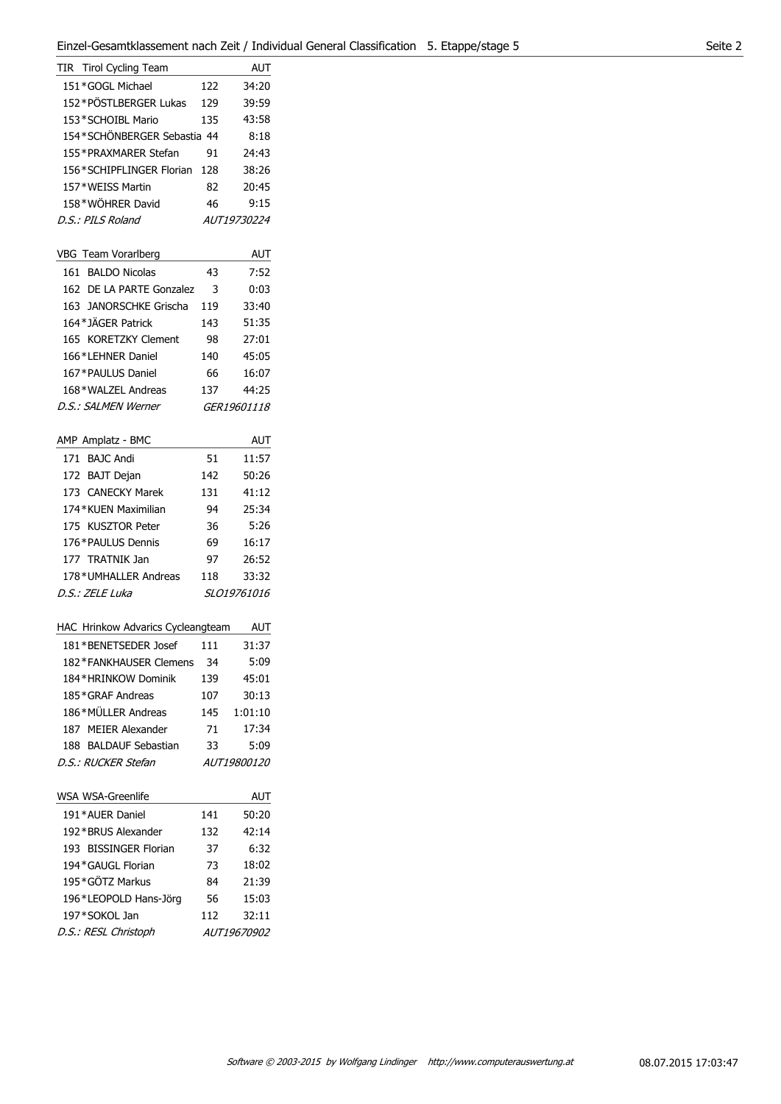| TIR Tirol Cycling Team      |     | AUT                |
|-----------------------------|-----|--------------------|
| 151*GOGL Michael            | 122 | 34:20              |
| 152*PÖSTLBERGER Lukas       | 129 | 39:59              |
| 153*SCHOIBL Mario           | 135 | 43:58              |
| 154*SCHÖNBERGER Sebastia 44 |     | 8:18               |
| 155*PRAXMARFR Stefan        | 91  | 74:43              |
| 156*SCHIPFLINGER Florian    | 128 | 38:26              |
| 157*WEISS Martin            | 82  | 20:45              |
| 158*WÖHRER David            | 46  | 9:15               |
| $D.S.$ : PII S Roland       |     | <i>AUT19730224</i> |
|                             |     |                    |

| VBG Team Vorarlberg      |     | AUT                |
|--------------------------|-----|--------------------|
| 161 BALDO Nicolas        | 43  | 7:52               |
| 162 DE LA PARTE Gonzalez | 3   | 0:03               |
| 163 JANORSCHKE Grischa   | 119 | 33:40              |
| 164*JÄGER Patrick        | 143 | 51:35              |
| 165 KORETZKY Clement     | 98  | 27:01              |
| 166*LEHNER Daniel        | 140 | 45:05              |
| 167*PAULUS Daniel        | 66  | 16:07              |
| 168*WALZEL Andreas       | 137 | 44:25              |
| D.S.: SAI MFN Werner     |     | <i>GER19601118</i> |

| AMP Amplatz - BMC    |     | AUT                |
|----------------------|-----|--------------------|
| 171 BAIC Andi        | 51  | 11:57              |
| 172 BAJT Dejan       | 142 | 50:26              |
| 173 CANECKY Marek    | 131 | 41:12              |
| 174 KUFN Maximilian  | 94  | 25:34              |
| 175 KUSZTOR Peter    | 36  | 5:26               |
| 176*PAULUS Dennis    | 69  | 16:17              |
| 177 TRATNIK Jan      | 97  | 26:52              |
| 178*UMHALLER Andreas | 118 | 33:32              |
| D.S.: ZELE Luka      |     | <i>SLO19761016</i> |

| <b>HAC Hrinkow Advarics Cycleangteam</b> |     | AUT                |
|------------------------------------------|-----|--------------------|
| 181*BENETSEDER Josef                     | 111 | 31:37              |
| 182*FANKHAUSER Clemens                   | 34  | 5:09               |
| 184*HRINKOW Dominik                      | 139 | 45:01              |
| 185*GRAF Andreas                         | 107 | 30:13              |
| 186*MÜLLER Andreas                       | 145 | 1:01:10            |
| 187 MEIER Alexander                      | 71  | 17:34              |
| <b>BALDAUF Sebastian</b><br>188.         | 33  | 5:09               |
| D.S.: RUCKER Stefan                      |     | <i>AUT19800120</i> |
|                                          |     |                    |

| <b>WSA WSA-Greenlife</b> |     | AUT                |
|--------------------------|-----|--------------------|
| 191*AUER Daniel          | 141 | 50:20              |
| 192*BRUS Alexander       | 132 | 42:14              |
| 193 BISSINGER Florian    | 37  | 6:32               |
| 194*GAUGL Florian        | 73  | 18:02              |
| 195*GÖTZ Markus          | 84  | 21:39              |
| 196*LEOPOLD Hans-Jörg    | 56  | 15:03              |
| 197*SOKOL Jan            | 112 | 32:11              |
| D.S.: RESL Christoph     |     | <i>AUT19670902</i> |